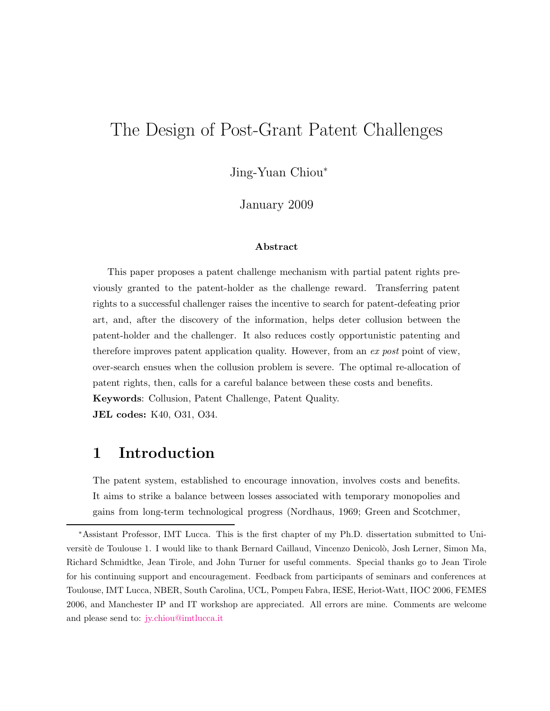## The Design of Post-Grant Patent Challenges

Jing-Yuan Chiou<sup>∗</sup>

January 2009

#### Abstract

This paper proposes a patent challenge mechanism with partial patent rights previously granted to the patent-holder as the challenge reward. Transferring patent rights to a successful challenger raises the incentive to search for patent-defeating prior art, and, after the discovery of the information, helps deter collusion between the patent-holder and the challenger. It also reduces costly opportunistic patenting and therefore improves patent application quality. However, from an ex post point of view, over-search ensues when the collusion problem is severe. The optimal re-allocation of patent rights, then, calls for a careful balance between these costs and benefits. Keywords: Collusion, Patent Challenge, Patent Quality. JEL codes: K40, O31, O34.

### <span id="page-0-0"></span>1 Introduction

The patent system, established to encourage innovation, involves costs and benefits. It aims to strike a balance between losses associated with temporary monopolies and gains from long-term technological progress [\(Nordhaus](#page-46-0), [1969;](#page-46-0) [Green and Scotchmer](#page-45-0),

<sup>∗</sup>Assistant Professor, IMT Lucca. This is the first chapter of my Ph.D. dissertation submitted to Universitè de Toulouse 1. I would like to thank Bernard Caillaud, Vincenzo Denicolò, Josh Lerner, Simon Ma, Richard Schmidtke, Jean Tirole, and John Turner for useful comments. Special thanks go to Jean Tirole for his continuing support and encouragement. Feedback from participants of seminars and conferences at Toulouse, IMT Lucca, NBER, South Carolina, UCL, Pompeu Fabra, IESE, Heriot-Watt, IIOC 2006, FEMES 2006, and Manchester IP and IT workshop are appreciated. All errors are mine. Comments are welcome and please send to: [jy.chiou@imtlucca.it](mailto:jy.chiou@imtlucca.it)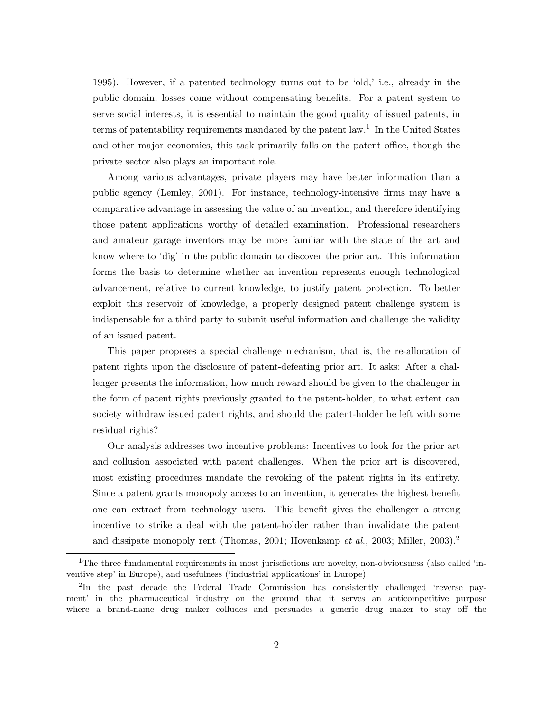[1995](#page-45-0)). However, if a patented technology turns out to be 'old,' i.e., already in the public domain, losses come without compensating benefits. For a patent system to serve social interests, it is essential to maintain the good quality of issued patents, in terms of patentability requirements mandated by the patent law.<sup>1</sup> In the United States and other major economies, this task primarily falls on the patent office, though the private sector also plays an important role.

Among various advantages, private players may have better information than a public agency [\(Lemley](#page-46-1), [2001\)](#page-46-1). For instance, technology-intensive firms may have a comparative advantage in assessing the value of an invention, and therefore identifying those patent applications worthy of detailed examination. Professional researchers and amateur garage inventors may be more familiar with the state of the art and know where to 'dig' in the public domain to discover the prior art. This information forms the basis to determine whether an invention represents enough technological advancement, relative to current knowledge, to justify patent protection. To better exploit this reservoir of knowledge, a properly designed patent challenge system is indispensable for a third party to submit useful information and challenge the validity of an issued patent.

This paper proposes a special challenge mechanism, that is, the re-allocation of patent rights upon the disclosure of patent-defeating prior art. It asks: After a challenger presents the information, how much reward should be given to the challenger in the form of patent rights previously granted to the patent-holder, to what extent can society withdraw issued patent rights, and should the patent-holder be left with some residual rights?

Our analysis addresses two incentive problems: Incentives to look for the prior art and collusion associated with patent challenges. When the prior art is discovered, most existing procedures mandate the revoking of the patent rights in its entirety. Since a patent grants monopoly access to an invention, it generates the highest benefit one can extract from technology users. This benefit gives the challenger a strong incentive to strike a deal with the patent-holder rather than invalidate the patent and dissipate monopoly rent [\(Thomas](#page-46-2), [2001](#page-46-2); [Hovenkamp](#page-46-3) et al., [2003;](#page-46-3) [Miller](#page-46-4), [2003](#page-46-4)).<sup>2</sup>

<sup>&</sup>lt;sup>1</sup>The three fundamental requirements in most jurisdictions are novelty, non-obviousness (also called 'inventive step' in Europe), and usefulness ('industrial applications' in Europe).

<sup>&</sup>lt;sup>2</sup>In the past decade the Federal Trade Commission has consistently challenged 'reverse payment' in the pharmaceutical industry on the ground that it serves an anticompetitive purpose where a brand-name drug maker colludes and persuades a generic drug maker to stay off the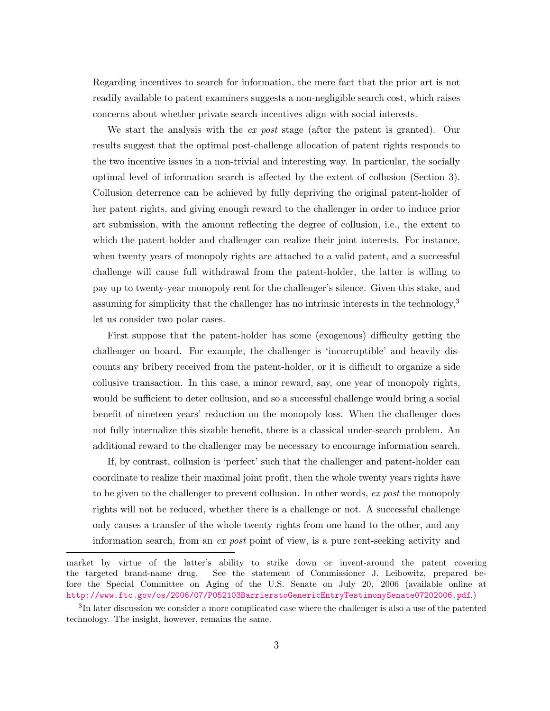Regarding incentives to search for information, the mere fact that the prior art is not readily available to patent examiners suggests a non-negligible search cost, which raises concerns about whether private search incentives align with social interests.

We start the analysis with the *ex post* stage (after the patent is granted). Our results suggest that the optimal post-challenge allocation of patent rights responds to the two incentive issues in a non-trivial and interesting way. In particular, the socially optimal level of information search is affected by the extent of collusion (Section [3\)](#page-9-0). Collusion deterrence can be achieved by fully depriving the original patent-holder of her patent rights, and giving enough reward to the challenger in order to induce prior art submission, with the amount reflecting the degree of collusion, i.e., the extent to which the patent-holder and challenger can realize their joint interests. For instance, when twenty years of monopoly rights are attached to a valid patent, and a successful challenge will cause full withdrawal from the patent-holder, the latter is willing to pay up to twenty-year monopoly rent for the challenger's silence. Given this stake, and assuming for simplicity that the challenger has no intrinsic interests in the technology, $3$ let us consider two polar cases.

First suppose that the patent-holder has some (exogenous) difficulty getting the challenger on board. For example, the challenger is 'incorruptible' and heavily discounts any bribery received from the patent-holder, or it is difficult to organize a side collusive transaction. In this case, a minor reward, say, one year of monopoly rights, would be sufficient to deter collusion, and so a successful challenge would bring a social benefit of nineteen years' reduction on the monopoly loss. When the challenger does not fully internalize this sizable benefit, there is a classical under-search problem. An additional reward to the challenger may be necessary to encourage information search.

If, by contrast, collusion is 'perfect' such that the challenger and patent-holder can coordinate to realize their maximal joint profit, then the whole twenty years rights have to be given to the challenger to prevent collusion. In other words, ex post the monopoly rights will not be reduced, whether there is a challenge or not. A successful challenge only causes a transfer of the whole twenty rights from one hand to the other, and any information search, from an ex post point of view, is a pure rent-seeking activity and

market by virtue of the latter's ability to strike down or invent-around the patent covering the targeted brand-name drug. See the statement of Commissioner J. Leibowitz, prepared before the Special Committee on Aging of the U.S. Senate on July 20, 2006 (available online at <http://www.ftc.gov/os/2006/07/P052103BarrierstoGenericEntryTestimonySenate07202006.pdf>.)

<sup>&</sup>lt;sup>3</sup>In later discussion we consider a more complicated case where the challenger is also a use of the patented technology. The insight, however, remains the same.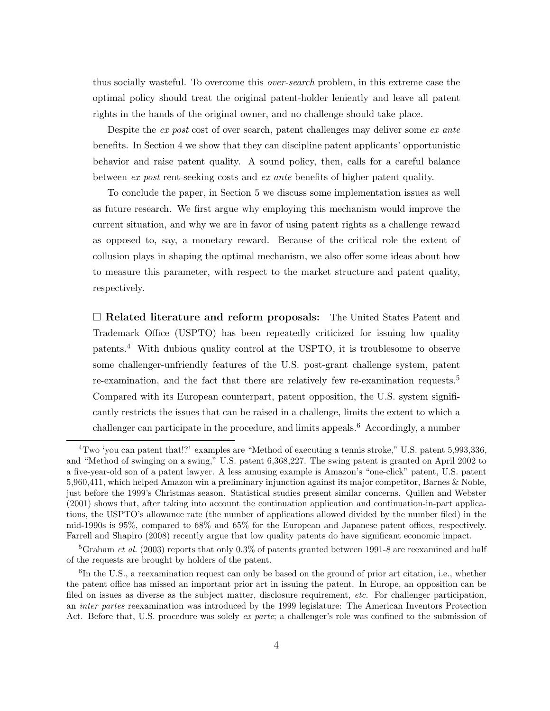thus socially wasteful. To overcome this *over-search* problem, in this extreme case the optimal policy should treat the original patent-holder leniently and leave all patent rights in the hands of the original owner, and no challenge should take place.

Despite the ex post cost of over search, patent challenges may deliver some ex ante benefits. In Section [4](#page-15-0) we show that they can discipline patent applicants' opportunistic behavior and raise patent quality. A sound policy, then, calls for a careful balance between ex post rent-seeking costs and ex ante benefits of higher patent quality.

To conclude the paper, in Section [5](#page-17-0) we discuss some implementation issues as well as future research. We first argue why employing this mechanism would improve the current situation, and why we are in favor of using patent rights as a challenge reward as opposed to, say, a monetary reward. Because of the critical role the extent of collusion plays in shaping the optimal mechanism, we also offer some ideas about how to measure this parameter, with respect to the market structure and patent quality, respectively.

□ Related literature and reform proposals: The United States Patent and Trademark Office (USPTO) has been repeatedly criticized for issuing low quality patents.<sup>4</sup> With dubious quality control at the USPTO, it is troublesome to observe some challenger-unfriendly features of the U.S. post-grant challenge system, patent re-examination, and the fact that there are relatively few re-examination requests.<sup>5</sup> Compared with its European counterpart, patent opposition, the U.S. system significantly restricts the issues that can be raised in a challenge, limits the extent to which a challenger can participate in the procedure, and limits appeals.<sup>6</sup> Accordingly, a number

<sup>&</sup>lt;sup>4</sup>Two 'you can patent that!?' examples are "Method of executing a tennis stroke," U.S. patent 5,993,336, and "Method of swinging on a swing," U.S. patent 6,368,227. The swing patent is granted on April 2002 to a five-year-old son of a patent lawyer. A less amusing example is Amazon's "one-click" patent, U.S. patent 5,960,411, which helped Amazon win a preliminary injunction against its major competitor, Barnes & Noble, just before the 1999's Christmas season. Statistical studies present similar concerns. [Quillen and Webster](#page-46-5) [\(2001\)](#page-46-5) shows that, after taking into account the continuation application and continuation-in-part applications, the USPTO's allowance rate (the number of applications allowed divided by the number filed) in the mid-1990s is 95%, compared to 68% and 65% for the European and Japanese patent offices, respectively. [Farrell and Shapiro \(2008\)](#page-45-1) recently argue that low quality patents do have significant economic impact.

<sup>&</sup>lt;sup>5</sup>[Graham](#page-45-2) *et al.* [\(2003\)](#page-45-2) reports that only 0.3% of patents granted between 1991-8 are reexamined and half of the requests are brought by holders of the patent.

<sup>&</sup>lt;sup>6</sup>In the U.S., a reexamination request can only be based on the ground of prior art citation, i.e., whether the patent office has missed an important prior art in issuing the patent. In Europe, an opposition can be filed on issues as diverse as the subject matter, disclosure requirement, etc. For challenger participation, an inter partes reexamination was introduced by the 1999 legislature: The American Inventors Protection Act. Before that, U.S. procedure was solely ex parte; a challenger's role was confined to the submission of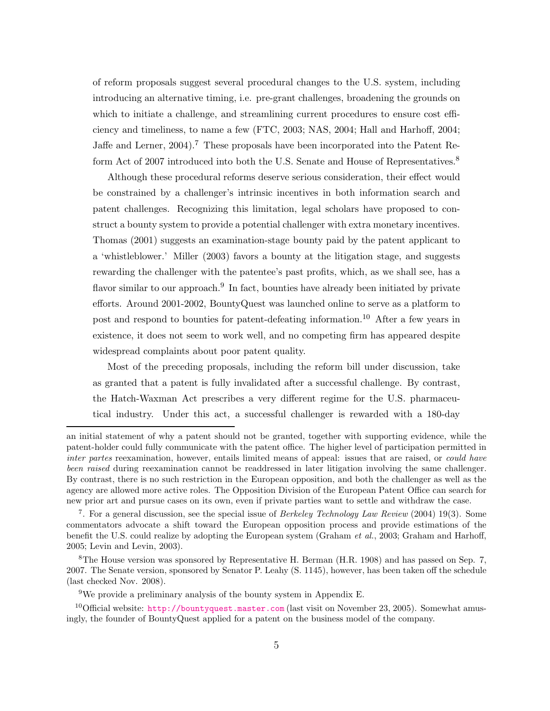of reform proposals suggest several procedural changes to the U.S. system, including introducing an alternative timing, i.e. pre-grant challenges, broadening the grounds on which to initiate a challenge, and streamlining current procedures to ensure cost efficiency and timeliness, to name a few [\(FTC, 2003;](#page-45-3) [NAS, 2004](#page-46-6); [Hall and Harhoff](#page-45-4), [2004](#page-45-4); [Jaffe and Lerner, 2004\)](#page-46-7).<sup>7</sup> These proposals have been incorporated into the Patent Reform Act of 2007 introduced into both the U.S. Senate and House of Representatives.<sup>8</sup>

Although these procedural reforms deserve serious consideration, their effect would be constrained by a challenger's intrinsic incentives in both information search and patent challenges. Recognizing this limitation, legal scholars have proposed to construct a bounty system to provide a potential challenger with extra monetary incentives. [Thomas \(2001](#page-46-2)) suggests an examination-stage bounty paid by the patent applicant to a 'whistleblower.' [Miller \(2003](#page-46-4)) favors a bounty at the litigation stage, and suggests rewarding the challenger with the patentee's past profits, which, as we shall see, has a flavor similar to our approach.<sup>9</sup> In fact, bounties have already been initiated by private efforts. Around 2001-2002, BountyQuest was launched online to serve as a platform to post and respond to bounties for patent-defeating information.<sup>10</sup> After a few years in existence, it does not seem to work well, and no competing firm has appeared despite widespread complaints about poor patent quality.

Most of the preceding proposals, including the reform bill under discussion, take as granted that a patent is fully invalidated after a successful challenge. By contrast, the Hatch-Waxman Act prescribes a very different regime for the U.S. pharmaceutical industry. Under this act, a successful challenger is rewarded with a 180-day

an initial statement of why a patent should not be granted, together with supporting evidence, while the patent-holder could fully communicate with the patent office. The higher level of participation permitted in inter partes reexamination, however, entails limited means of appeal: issues that are raised, or *could have* been raised during reexamination cannot be readdressed in later litigation involving the same challenger. By contrast, there is no such restriction in the European opposition, and both the challenger as well as the agency are allowed more active roles. The Opposition Division of the European Patent Office can search for new prior art and pursue cases on its own, even if private parties want to settle and withdraw the case.

<sup>&</sup>lt;sup>7</sup>. For a general discussion, see the special issue of *Berkeley Technology Law Review* (2004) 19(3). Some commentators advocate a shift toward the European opposition process and provide estimations of the benefit the U.S. could realize by adopting the European system [\(Graham](#page-45-2) et al., [2003](#page-45-2); [Graham and Harhoff,](#page-45-5) [2005;](#page-45-5) [Levin and Levin](#page-46-8), [2003](#page-46-8)).

 $8$ The House version was sponsored by Representative H. Berman (H.R. 1908) and has passed on Sep. 7, 2007. The Senate version, sponsored by Senator P. Leahy (S. 1145), however, has been taken off the schedule (last checked Nov. 2008).

<sup>&</sup>lt;sup>9</sup>We provide a preliminary analysis of the bounty system in Appendix [E.](#page-38-0)

<sup>&</sup>lt;sup>10</sup>Official website: <http://bountyquest.master.com> (last visit on November 23, 2005). Somewhat amusingly, the founder of BountyQuest applied for a patent on the business model of the company.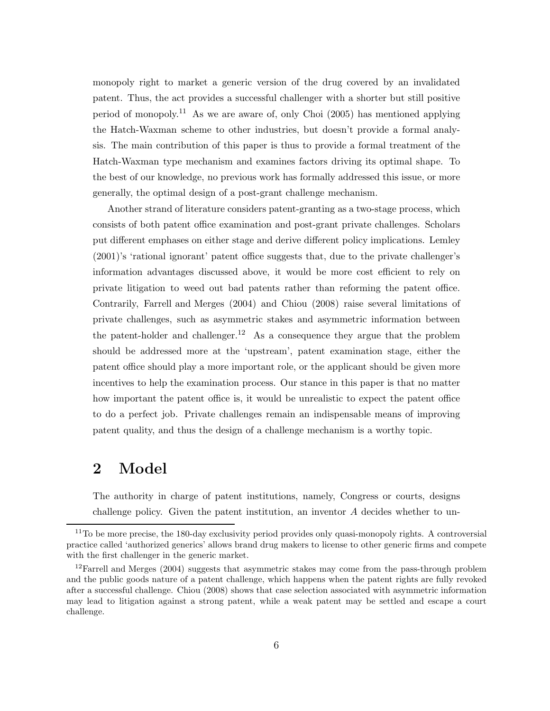monopoly right to market a generic version of the drug covered by an invalidated patent. Thus, the act provides a successful challenger with a shorter but still positive period of monopoly.<sup>11</sup> As we are aware of, only Choi  $(2005)$  has mentioned applying the Hatch-Waxman scheme to other industries, but doesn't provide a formal analysis. The main contribution of this paper is thus to provide a formal treatment of the Hatch-Waxman type mechanism and examines factors driving its optimal shape. To the best of our knowledge, no previous work has formally addressed this issue, or more generally, the optimal design of a post-grant challenge mechanism.

Another strand of literature considers patent-granting as a two-stage process, which consists of both patent office examination and post-grant private challenges. Scholars put different emphases on either stage and derive different policy implications. [Lemley](#page-46-1) [\(2001](#page-46-1))'s 'rational ignorant' patent office suggests that, due to the private challenger's information advantages discussed above, it would be more cost efficient to rely on private litigation to weed out bad patents rather than reforming the patent office. Contrarily, [Farrell and Merges \(2004](#page-45-7)) and [Chiou \(2008](#page-45-8)) raise several limitations of private challenges, such as asymmetric stakes and asymmetric information between the patent-holder and challenger.<sup>12</sup> As a consequence they argue that the problem should be addressed more at the 'upstream', patent examination stage, either the patent office should play a more important role, or the applicant should be given more incentives to help the examination process. Our stance in this paper is that no matter how important the patent office is, it would be unrealistic to expect the patent office to do a perfect job. Private challenges remain an indispensable means of improving patent quality, and thus the design of a challenge mechanism is a worthy topic.

### 2 Model

The authority in charge of patent institutions, namely, Congress or courts, designs challenge policy. Given the patent institution, an inventor  $A$  decides whether to un-

 $11$ To be more precise, the 180-day exclusivity period provides only quasi-monopoly rights. A controversial practice called 'authorized generics' allows brand drug makers to license to other generic firms and compete with the first challenger in the generic market.

<sup>&</sup>lt;sup>12</sup>[Farrell and Merges \(2004\)](#page-45-7) suggests that asymmetric stakes may come from the pass-through problem and the public goods nature of a patent challenge, which happens when the patent rights are fully revoked after a successful challenge. [Chiou \(2008](#page-45-8)) shows that case selection associated with asymmetric information may lead to litigation against a strong patent, while a weak patent may be settled and escape a court challenge.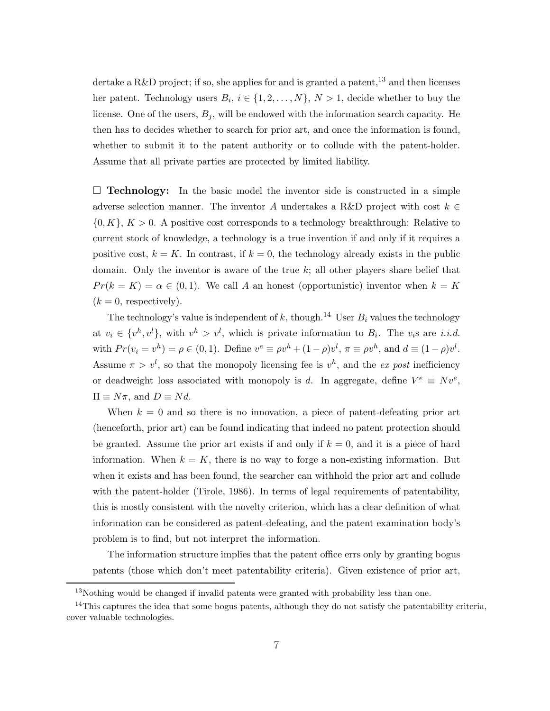dertake a R&D project; if so, she applies for and is granted a patent,  $^{13}$  and then licenses her patent. Technology users  $B_i$ ,  $i \in \{1, 2, ..., N\}$ ,  $N > 1$ , decide whether to buy the license. One of the users,  $B_j$ , will be endowed with the information search capacity. He then has to decides whether to search for prior art, and once the information is found, whether to submit it to the patent authority or to collude with the patent-holder. Assume that all private parties are protected by limited liability.

 $\square$  Technology: In the basic model the inventor side is constructed in a simple adverse selection manner. The inventor A undertakes a R&D project with cost  $k \in \mathbb{Z}$  $\{0, K\}, K > 0$ . A positive cost corresponds to a technology breakthrough: Relative to current stock of knowledge, a technology is a true invention if and only if it requires a positive cost,  $k = K$ . In contrast, if  $k = 0$ , the technology already exists in the public domain. Only the inventor is aware of the true  $k$ ; all other players share belief that  $Pr(k = K) = \alpha \in (0, 1)$ . We call A an honest (opportunistic) inventor when  $k = K$  $(k = 0,$  respectively).

The technology's value is independent of  $k$ , though.<sup>14</sup> User  $B_i$  values the technology at  $v_i \in \{v^h, v^l\}$ , with  $v^h > v^l$ , which is private information to  $B_i$ . The  $v_i$ s are *i.i.d.* with  $Pr(v_i = v^h) = \rho \in (0, 1)$ . Define  $v^e \equiv \rho v^h + (1 - \rho)v^l$ ,  $\pi \equiv \rho v^h$ , and  $d \equiv (1 - \rho)v^l$ . Assume  $\pi > v^l$ , so that the monopoly licensing fee is  $v^h$ , and the ex post inefficiency or deadweight loss associated with monopoly is d. In aggregate, define  $V^e \equiv Nv^e$ ,  $\Pi \equiv N\pi$ , and  $D \equiv Nd$ .

When  $k = 0$  and so there is no innovation, a piece of patent-defeating prior art (henceforth, prior art) can be found indicating that indeed no patent protection should be granted. Assume the prior art exists if and only if  $k = 0$ , and it is a piece of hard information. When  $k = K$ , there is no way to forge a non-existing information. But when it exists and has been found, the searcher can withhold the prior art and collude with the patent-holder [\(Tirole, 1986](#page-46-9)). In terms of legal requirements of patentability, this is mostly consistent with the novelty criterion, which has a clear definition of what information can be considered as patent-defeating, and the patent examination body's problem is to find, but not interpret the information.

The information structure implies that the patent office errs only by granting bogus patents (those which don't meet patentability criteria). Given existence of prior art,

<sup>&</sup>lt;sup>13</sup>Nothing would be changed if invalid patents were granted with probability less than one.

 $14$ This captures the idea that some bogus patents, although they do not satisfy the patentability criteria, cover valuable technologies.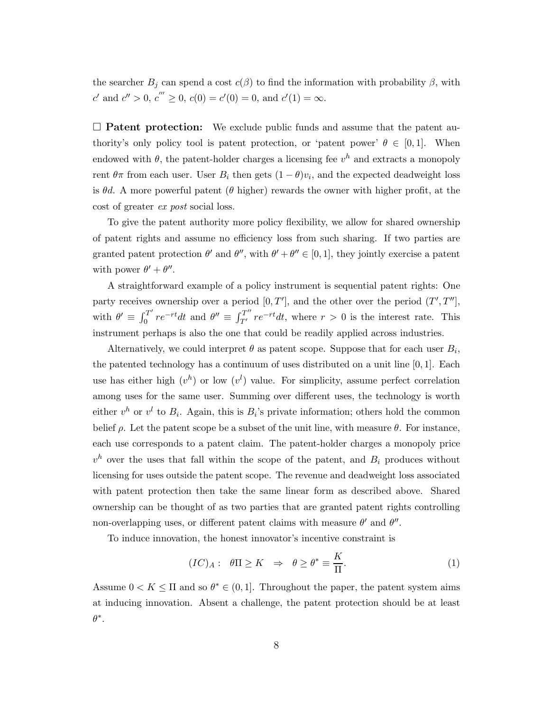the searcher  $B_j$  can spend a cost  $c(\beta)$  to find the information with probability  $\beta$ , with c' and  $c'' > 0$ ,  $c''' \ge 0$ ,  $c(0) = c'(0) = 0$ , and  $c'(1) = \infty$ .

 $\square$  Patent protection: We exclude public funds and assume that the patent authority's only policy tool is patent protection, or 'patent power'  $\theta \in [0,1]$ . When endowed with  $\theta$ , the patent-holder charges a licensing fee  $v^h$  and extracts a monopoly rent  $\theta\pi$  from each user. User  $B_i$  then gets  $(1 - \theta)v_i$ , and the expected deadweight loss is  $\theta d$ . A more powerful patent ( $\theta$  higher) rewards the owner with higher profit, at the cost of greater ex post social loss.

To give the patent authority more policy flexibility, we allow for shared ownership of patent rights and assume no efficiency loss from such sharing. If two parties are granted patent protection  $\theta'$  and  $\theta''$ , with  $\theta' + \theta'' \in [0, 1]$ , they jointly exercise a patent with power  $\theta' + \theta''$ .

A straightforward example of a policy instrument is sequential patent rights: One party receives ownership over a period  $[0, T']$ , and the other over the period  $(T', T'']$ , with  $\theta' \equiv \int_0^{T'}$  $\int_0^{T'} re^{-rt}dt$  and  $\theta'' \equiv \int_{T'}^{T''} re^{-rt}dt$ , where  $r > 0$  is the interest rate. This instrument perhaps is also the one that could be readily applied across industries.

Alternatively, we could interpret  $\theta$  as patent scope. Suppose that for each user  $B_i$ , the patented technology has a continuum of uses distributed on a unit line [0, 1]. Each use has either high  $(v^h)$  or low  $(v^l)$  value. For simplicity, assume perfect correlation among uses for the same user. Summing over different uses, the technology is worth either  $v^h$  or  $v^l$  to  $B_i$ . Again, this is  $B_i$ 's private information; others hold the common belief  $\rho$ . Let the patent scope be a subset of the unit line, with measure  $\theta$ . For instance, each use corresponds to a patent claim. The patent-holder charges a monopoly price  $v^h$  over the uses that fall within the scope of the patent, and  $B_i$  produces without licensing for uses outside the patent scope. The revenue and deadweight loss associated with patent protection then take the same linear form as described above. Shared ownership can be thought of as two parties that are granted patent rights controlling non-overlapping uses, or different patent claims with measure  $\theta'$  and  $\theta''$ .

To induce innovation, the honest innovator's incentive constraint is

<span id="page-7-0"></span>
$$
(IC)_A: \quad \theta \Pi \ge K \quad \Rightarrow \quad \theta \ge \theta^* \equiv \frac{K}{\Pi}.\tag{1}
$$

Assume  $0 < K \leq \Pi$  and so  $\theta^* \in (0, 1]$ . Throughout the paper, the patent system aims at inducing innovation. Absent a challenge, the patent protection should be at least  $\theta^*$ .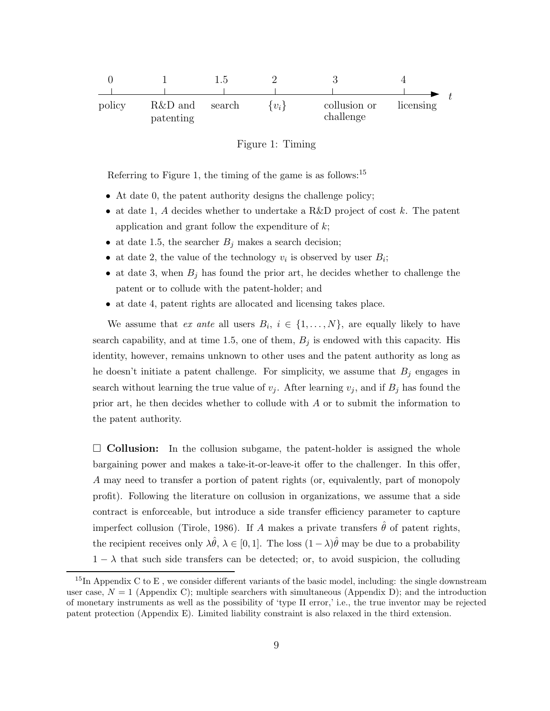

<span id="page-8-0"></span>Figure 1: Timing

Referring to Figure [1,](#page-8-0) the timing of the game is as follows: $15$ 

- ∙ At date 0, the patent authority designs the challenge policy;
- at date 1, A decides whether to undertake a R&D project of cost  $k$ . The patent application and grant follow the expenditure of  $k$ ;
- at date 1.5, the searcher  $B_j$  makes a search decision;
- at date 2, the value of the technology  $v_i$  is observed by user  $B_i$ ;
- at date 3, when  $B_j$  has found the prior art, he decides whether to challenge the patent or to collude with the patent-holder; and
- ∙ at date 4, patent rights are allocated and licensing takes place.

We assume that ex ante all users  $B_i$ ,  $i \in \{1, \ldots, N\}$ , are equally likely to have search capability, and at time 1.5, one of them,  $B_j$  is endowed with this capacity. His identity, however, remains unknown to other uses and the patent authority as long as he doesn't initiate a patent challenge. For simplicity, we assume that  $B_j$  engages in search without learning the true value of  $v_j$ . After learning  $v_j$ , and if  $B_j$  has found the prior art, he then decides whether to collude with  $A$  or to submit the information to the patent authority.

 $\square$  Collusion: In the collusion subgame, the patent-holder is assigned the whole bargaining power and makes a take-it-or-leave-it offer to the challenger. In this offer, A may need to transfer a portion of patent rights (or, equivalently, part of monopoly profit). Following the literature on collusion in organizations, we assume that a side contract is enforceable, but introduce a side transfer efficiency parameter to capture imperfect collusion [\(Tirole, 1986](#page-46-9)). If A makes a private transfers  $\hat{\theta}$  of patent rights, the recipient receives only  $\lambda \hat{\theta}$ ,  $\lambda \in [0, 1]$ . The loss  $(1 - \lambda)\hat{\theta}$  may be due to a probability  $1 - \lambda$  that such side transfers can be detected; or, to avoid suspicion, the colluding

 $15$ In Appendix [C](#page-29-0) to [E](#page-38-0), we consider different variants of the basic model, including: the single downstream user case,  $N = 1$  (Appendix [C\)](#page-29-0); multiple searchers with simultaneous (Appendix [D\)](#page-34-0); and the introduction of monetary instruments as well as the possibility of 'type II error,' i.e., the true inventor may be rejected patent protection (Appendix [E\)](#page-38-0). Limited liability constraint is also relaxed in the third extension.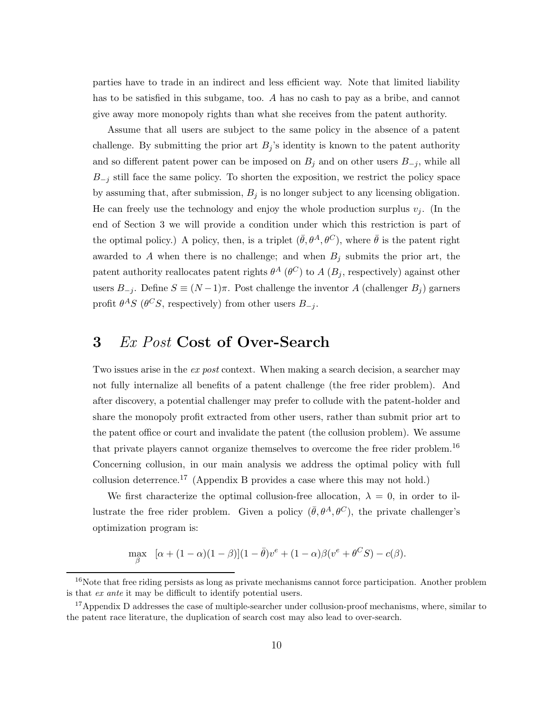parties have to trade in an indirect and less efficient way. Note that limited liability has to be satisfied in this subgame, too.  $A$  has no cash to pay as a bribe, and cannot give away more monopoly rights than what she receives from the patent authority.

Assume that all users are subject to the same policy in the absence of a patent challenge. By submitting the prior art  $B_j$ 's identity is known to the patent authority and so different patent power can be imposed on  $B_j$  and on other users  $B_{-j}$ , while all  $B_{-j}$  still face the same policy. To shorten the exposition, we restrict the policy space by assuming that, after submission,  $B_j$  is no longer subject to any licensing obligation. He can freely use the technology and enjoy the whole production surplus  $v_i$ . (In the end of Section [3](#page-9-0) we will provide a condition under which this restriction is part of the optimal policy.) A policy, then, is a triplet  $(\bar{\theta}, \theta^A, \theta^C)$ , where  $\bar{\theta}$  is the patent right awarded to  $A$  when there is no challenge; and when  $B_j$  submits the prior art, the patent authority reallocates patent rights  $\theta^A$  ( $\theta^C$ ) to  $A$  ( $B_j$ , respectively) against other users  $B_{-i}$ . Define  $S \equiv (N-1)\pi$ . Post challenge the inventor A (challenger  $B_i$ ) garners profit  $\theta^A S$  ( $\theta^C S$ , respectively) from other users  $B_{-j}$ .

### <span id="page-9-0"></span>3 Ex Post Cost of Over-Search

Two issues arise in the ex post context. When making a search decision, a searcher may not fully internalize all benefits of a patent challenge (the free rider problem). And after discovery, a potential challenger may prefer to collude with the patent-holder and share the monopoly profit extracted from other users, rather than submit prior art to the patent office or court and invalidate the patent (the collusion problem). We assume that private players cannot organize themselves to overcome the free rider problem.<sup>16</sup> Concerning collusion, in our main analysis we address the optimal policy with full collusion deterrence.<sup>17</sup> (Appendix [B](#page-23-0) provides a case where this may not hold.)

We first characterize the optimal collusion-free allocation,  $\lambda = 0$ , in order to illustrate the free rider problem. Given a policy  $(\bar{\theta}, \theta^A, \theta^C)$ , the private challenger's optimization program is:

$$
\max_{\beta} \quad [\alpha + (1 - \alpha)(1 - \beta)](1 - \bar{\theta})v^e + (1 - \alpha)\beta(v^e + \theta^C S) - c(\beta).
$$

<sup>&</sup>lt;sup>16</sup>Note that free riding persists as long as private mechanisms cannot force participation. Another problem is that ex ante it may be difficult to identify potential users.

<sup>&</sup>lt;sup>17</sup>Appendix [D](#page-34-0) addresses the case of multiple-searcher under collusion-proof mechanisms, where, similar to the patent race literature, the duplication of search cost may also lead to over-search.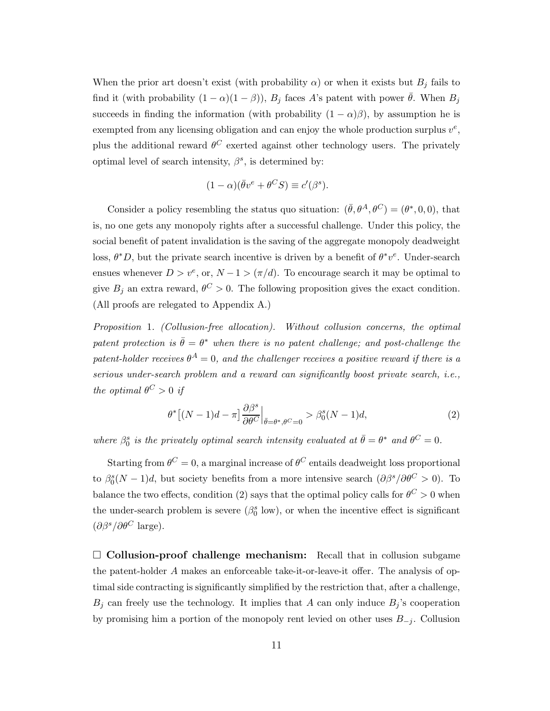When the prior art doesn't exist (with probability  $\alpha$ ) or when it exists but  $B_j$  fails to find it (with probability  $(1 - \alpha)(1 - \beta)$ ),  $B_j$  faces A's patent with power  $\bar{\theta}$ . When  $B_j$ succeeds in finding the information (with probability  $(1 - \alpha)\beta$ ), by assumption he is exempted from any licensing obligation and can enjoy the whole production surplus  $v^e$ , plus the additional reward  $\theta^C$  exerted against other technology users. The privately optimal level of search intensity,  $\beta^s$ , is determined by:

$$
(1 - \alpha)(\bar{\theta}v^e + \theta^C S) \equiv c'(\beta^s).
$$

Consider a policy resembling the status quo situation:  $(\bar{\theta}, \theta^A, \theta^C) = (\theta^*, 0, 0)$ , that is, no one gets any monopoly rights after a successful challenge. Under this policy, the social benefit of patent invalidation is the saving of the aggregate monopoly deadweight loss,  $\theta^*D$ , but the private search incentive is driven by a benefit of  $\theta^*v^e$ . Under-search ensues whenever  $D > v^e$ , or,  $N - 1 > (\pi/d)$ . To encourage search it may be optimal to give  $B_j$  an extra reward,  $\theta^C > 0$ . The following proposition gives the exact condition. (All proofs are relegated to Appendix [A.](#page-20-0))

<span id="page-10-1"></span>Proposition 1. (Collusion-free allocation). Without collusion concerns, the optimal patent protection is  $\bar{\theta} = \theta^*$  when there is no patent challenge; and post-challenge the patent-holder receives  $\theta^A = 0$ , and the challenger receives a positive reward if there is a serious under-search problem and a reward can significantly boost private search, i.e., the optimal  $\theta^C > 0$  if

<span id="page-10-0"></span>
$$
\theta^* \left[ (N-1)d - \pi \right] \frac{\partial \beta^s}{\partial \theta^C} \Big|_{\bar{\theta} = \theta^*, \theta^C = 0} > \beta_0^s (N-1)d,\tag{2}
$$

where  $\beta_0^s$  is the privately optimal search intensity evaluated at  $\bar{\theta} = \theta^*$  and  $\theta^C = 0$ .

Starting from  $\theta^C = 0$ , a marginal increase of  $\theta^C$  entails deadweight loss proportional to  $\beta_0^s(N-1)d$ , but society benefits from a more intensive search  $(\partial \beta^s/\partial \theta^C > 0)$ . To balance the two effects, condition [\(2\)](#page-10-0) says that the optimal policy calls for  $\theta^C > 0$  when the under-search problem is severe  $(\beta_0^s \text{ low})$ , or when the incentive effect is significant  $(\partial \beta^s / \partial \theta^C)$  large).

 $\square$  Collusion-proof challenge mechanism: Recall that in collusion subgame the patent-holder  $A$  makes an enforceable take-it-or-leave-it offer. The analysis of optimal side contracting is significantly simplified by the restriction that, after a challenge,  $B_i$  can freely use the technology. It implies that A can only induce  $B_i$ 's cooperation by promising him a portion of the monopoly rent levied on other uses  $B_{-j}$ . Collusion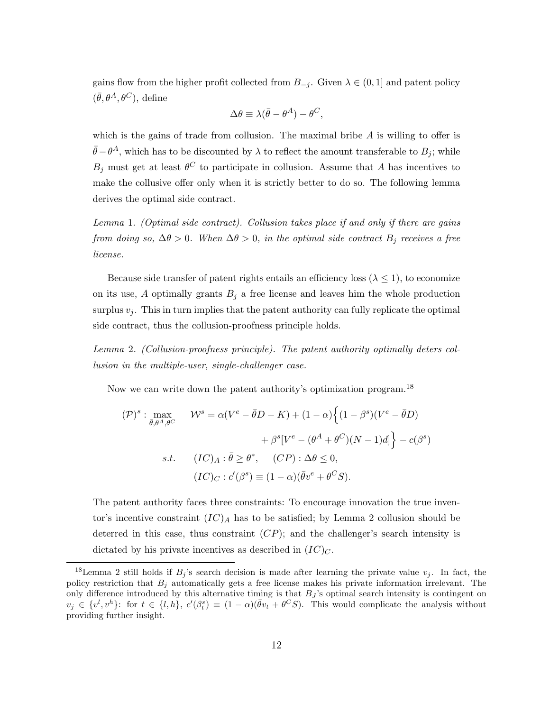gains flow from the higher profit collected from  $B_{-j}$ . Given  $\lambda \in (0,1]$  and patent policy  $(\bar{\theta}, \theta^A, \theta^C)$ , define

$$
\Delta \theta \equiv \lambda (\bar{\theta} - \theta^A) - \theta^C,
$$

which is the gains of trade from collusion. The maximal bribe  $A$  is willing to offer is  $\bar{\theta}-\theta^A$ , which has to be discounted by  $\lambda$  to reflect the amount transferable to  $B_j$ ; while  $B_j$  must get at least  $\theta^C$  to participate in collusion. Assume that A has incentives to make the collusive offer only when it is strictly better to do so. The following lemma derives the optimal side contract.

<span id="page-11-1"></span>Lemma 1. (Optimal side contract). Collusion takes place if and only if there are gains from doing so,  $\Delta\theta > 0$ . When  $\Delta\theta > 0$ , in the optimal side contract  $B_i$  receives a free license.

Because side transfer of patent rights entails an efficiency loss ( $\lambda \leq 1$ ), to economize on its use, A optimally grants  $B_j$  a free license and leaves him the whole production surplus  $v_j$ . This in turn implies that the patent authority can fully replicate the optimal side contract, thus the collusion-proofness principle holds.

<span id="page-11-0"></span>Lemma 2. (Collusion-proofness principle). The patent authority optimally deters collusion in the multiple-user, single-challenger case.

Now we can write down the patent authority's optimization program.<sup>18</sup>

$$
(\mathcal{P})^s : \max_{\bar{\theta}, \theta^A, \theta^C} \qquad \mathcal{W}^s = \alpha (V^e - \bar{\theta}D - K) + (1 - \alpha) \Big\{ (1 - \beta^s)(V^e - \bar{\theta}D) + \beta^s [V^e - (\theta^A + \theta^C)(N - 1)d] \Big\} - c(\beta^s)
$$
  
s.t. 
$$
(IC)_A : \bar{\theta} \ge \theta^*, \qquad (CP) : \Delta \theta \le 0,
$$

$$
(IC)_C : c'(\beta^s) \equiv (1 - \alpha)(\bar{\theta}v^e + \theta^C S).
$$

The patent authority faces three constraints: To encourage innovation the true inventor's incentive constraint  $(IC)_A$  has to be satisfied; by Lemma [2](#page-11-0) collusion should be deterred in this case, thus constraint  $(CP)$ ; and the challenger's search intensity is dictated by his private incentives as described in  $(IC)_C$ .

<sup>&</sup>lt;sup>18</sup>Lemma [2](#page-11-0) still holds if  $B_j$ 's search decision is made after learning the private value  $v_j$ . In fact, the policy restriction that  $B_j$  automatically gets a free license makes his private information irrelevant. The only difference introduced by this alternative timing is that  $B_J$ 's optimal search intensity is contingent on  $v_j \in \{v^l, v^h\}$ : for  $t \in \{l, h\}$ ,  $c'(\beta_t^s) \equiv (1 - \alpha)(\bar{\theta}v_t + \theta^C S)$ . This would complicate the analysis without providing further insight.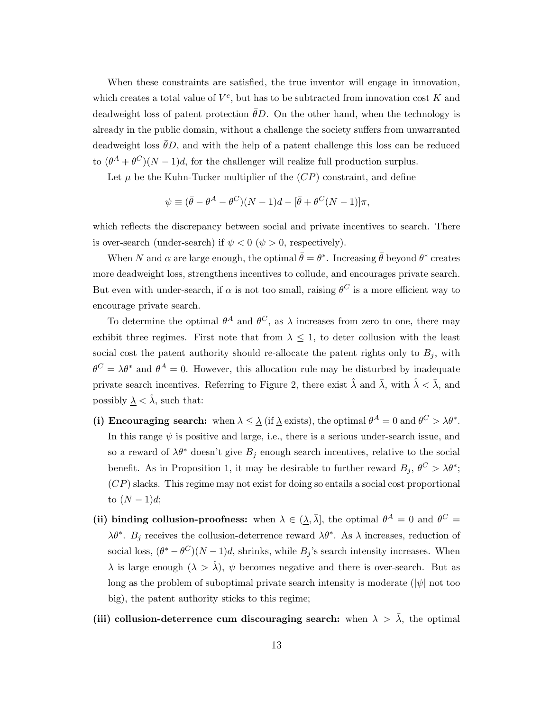When these constraints are satisfied, the true inventor will engage in innovation, which creates a total value of  $V^e$ , but has to be subtracted from innovation cost K and deadweight loss of patent protection  $\theta D$ . On the other hand, when the technology is already in the public domain, without a challenge the society suffers from unwarranted deadweight loss  $\theta D$ , and with the help of a patent challenge this loss can be reduced to  $(\theta^A + \theta^C)(N-1)d$ , for the challenger will realize full production surplus.

Let  $\mu$  be the Kuhn-Tucker multiplier of the  $(CP)$  constraint, and define

$$
\psi \equiv (\bar{\theta} - \theta^A - \theta^C)(N - 1)d - [\bar{\theta} + \theta^C(N - 1)]\pi,
$$

which reflects the discrepancy between social and private incentives to search. There is over-search (under-search) if  $\psi < 0$  ( $\psi > 0$ , respectively).

When N and  $\alpha$  are large enough, the optimal  $\bar{\theta} = \theta^*$ . Increasing  $\bar{\theta}$  beyond  $\theta^*$  creates more deadweight loss, strengthens incentives to collude, and encourages private search. But even with under-search, if  $\alpha$  is not too small, raising  $\theta^C$  is a more efficient way to encourage private search.

To determine the optimal  $\theta^A$  and  $\theta^C$ , as  $\lambda$  increases from zero to one, there may exhibit three regimes. First note that from  $\lambda \leq 1$ , to deter collusion with the least social cost the patent authority should re-allocate the patent rights only to  $B_j$ , with  $\theta^C = \lambda \theta^*$  and  $\theta^A = 0$ . However, this allocation rule may be disturbed by inadequate private search incentives. Referring to Figure [2,](#page-13-0) there exist  $\hat{\lambda}$  and  $\bar{\lambda}$ , with  $\hat{\lambda} < \bar{\lambda}$ , and possibly  $\lambda < \hat{\lambda}$ , such that:

- (i) Encouraging search: when  $\lambda \leq \underline{\lambda}$  (if  $\underline{\lambda}$  exists), the optimal  $\theta^A = 0$  and  $\theta^C > \lambda \theta^*$ . In this range  $\psi$  is positive and large, i.e., there is a serious under-search issue, and so a reward of  $\lambda \theta^*$  doesn't give  $B_j$  enough search incentives, relative to the social benefit. As in Proposition [1,](#page-10-1) it may be desirable to further reward  $B_j$ ,  $\theta^C > \lambda \theta^*$ ;  $(CP)$  slacks. This regime may not exist for doing so entails a social cost proportional to  $(N-1)d;$
- (ii) binding collusion-proofness: when  $\lambda \in (\underline{\lambda}, \overline{\lambda}]$ , the optimal  $\theta^A = 0$  and  $\theta^C =$  $\lambda \theta^*$ .  $B_j$  receives the collusion-deterrence reward  $\lambda \theta^*$ . As  $\lambda$  increases, reduction of social loss,  $(\theta^* - \theta^C)(N-1)d$ , shrinks, while  $B_j$ 's search intensity increases. When  $\lambda$  is large enough  $(\lambda > \hat{\lambda})$ ,  $\psi$  becomes negative and there is over-search. But as long as the problem of suboptimal private search intensity is moderate ( $|\psi|$  not too big), the patent authority sticks to this regime;
- (iii) collusion-deterrence cum discouraging search: when  $\lambda > \bar{\lambda}$ , the optimal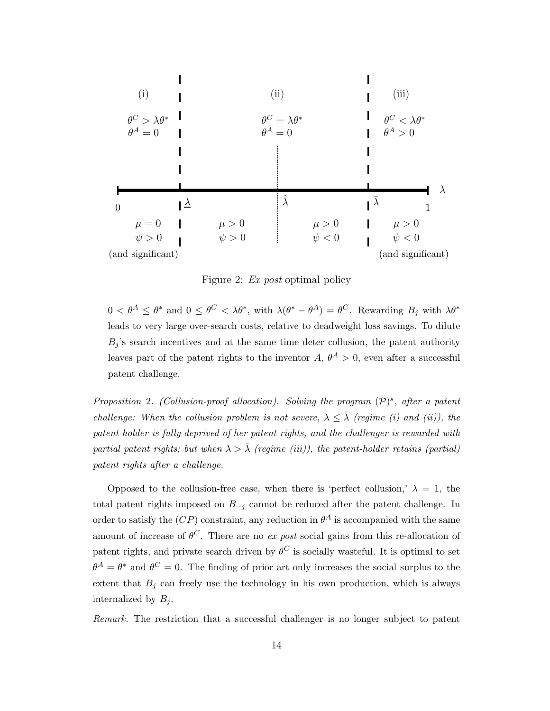

<span id="page-13-0"></span>Figure 2: Ex post optimal policy

 $0 < \theta^A \leq \theta^*$  and  $0 \leq \theta^C < \lambda \theta^*$ , with  $\lambda(\theta^* - \theta^A) = \theta^C$ . Rewarding  $B_j$  with  $\lambda \theta^*$ leads to very large over-search costs, relative to deadweight loss savings. To dilute  $B_j$ 's search incentives and at the same time deter collusion, the patent authority leaves part of the patent rights to the inventor  $A, \theta^A > 0$ , even after a successful patent challenge.

<span id="page-13-1"></span>Proposition 2. (Collusion-proof allocation). Solving the program  $(\mathcal{P})^s$ , after a patent challenge: When the collusion problem is not severe,  $\lambda \leq \overline{\lambda}$  (regime (i) and (ii)), the patent-holder is fully deprived of her patent rights, and the challenger is rewarded with partial patent rights; but when  $\lambda > \overline{\lambda}$  (regime (iii)), the patent-holder retains (partial) patent rights after a challenge.

Opposed to the collusion-free case, when there is 'perfect collusion,'  $\lambda = 1$ , the total patent rights imposed on  $B_{-j}$  cannot be reduced after the patent challenge. In order to satisfy the  $(CP)$  constraint, any reduction in  $\theta^A$  is accompanied with the same amount of increase of  $\theta^C$ . There are no ex post social gains from this re-allocation of patent rights, and private search driven by  $\theta^C$  is socially wasteful. It is optimal to set  $\theta^A = \theta^*$  and  $\theta^C = 0$ . The finding of prior art only increases the social surplus to the extent that  $B_j$  can freely use the technology in his own production, which is always internalized by  $B_i$ .

Remark. The restriction that a successful challenger is no longer subject to patent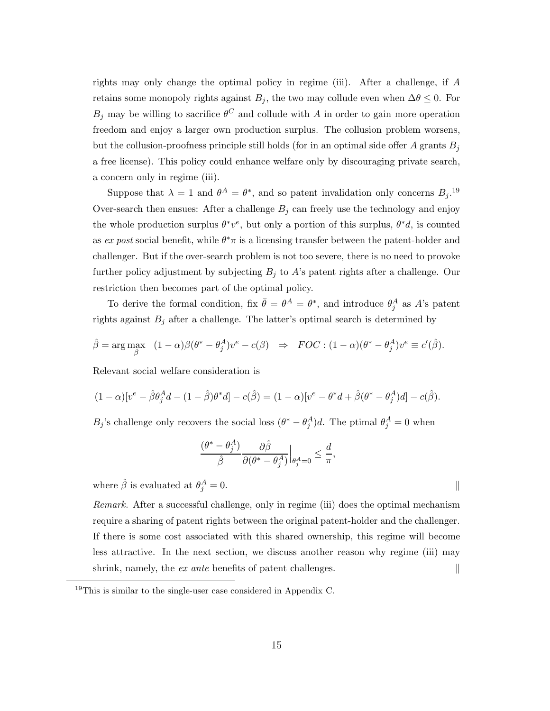rights may only change the optimal policy in regime (iii). After a challenge, if  $A$ retains some monopoly rights against  $B_j$ , the two may collude even when  $\Delta\theta \leq 0$ . For  $B_j$  may be willing to sacrifice  $\theta^C$  and collude with A in order to gain more operation freedom and enjoy a larger own production surplus. The collusion problem worsens, but the collusion-proofness principle still holds (for in an optimal side offer A grants  $B_i$ a free license). This policy could enhance welfare only by discouraging private search, a concern only in regime (iii).

Suppose that  $\lambda = 1$  and  $\theta^A = \theta^*$ , and so patent invalidation only concerns  $B_j$ .<sup>19</sup> Over-search then ensues: After a challenge  $B_j$  can freely use the technology and enjoy the whole production surplus  $\theta^* v^e$ , but only a portion of this surplus,  $\theta^* d$ , is counted as ex post social benefit, while  $\theta^* \pi$  is a licensing transfer between the patent-holder and challenger. But if the over-search problem is not too severe, there is no need to provoke further policy adjustment by subjecting  $B_j$  to A's patent rights after a challenge. Our restriction then becomes part of the optimal policy.

To derive the formal condition, fix  $\bar{\theta} = \theta^A = \theta^*$ , and introduce  $\theta_j^A$  as A's patent rights against  $B_j$  after a challenge. The latter's optimal search is determined by

$$
\hat{\beta} = \arg \max_{\beta} \quad (1 - \alpha)\beta(\theta^* - \theta_j^A)v^e - c(\beta) \quad \Rightarrow \quad FOC : (1 - \alpha)(\theta^* - \theta_j^A)v^e \equiv c'(\hat{\beta}).
$$

Relevant social welfare consideration is

$$
(1 - \alpha)[v^e - \hat{\beta}\theta_j^A d - (1 - \hat{\beta})\theta^* d] - c(\hat{\beta}) = (1 - \alpha)[v^e - \theta^* d + \hat{\beta}(\theta^* - \theta_j^A)d] - c(\hat{\beta}).
$$

 $B_j$ 's challenge only recovers the social loss  $(\theta^* - \theta_j^A)d$ . The ptimal  $\theta_j^A = 0$  when

$$
\frac{(\theta^*-\theta_j^A)}{\hat{\beta}}\frac{\partial \hat{\beta}}{\partial (\theta^*-\theta_j^A)}\Big|_{\theta_j^A=0}\leq \frac{d}{\pi}
$$

,

where  $\hat{\beta}$  is evaluated at  $\theta_i^A$  $j^A = 0.$  ||

Remark. After a successful challenge, only in regime (iii) does the optimal mechanism require a sharing of patent rights between the original patent-holder and the challenger. If there is some cost associated with this shared ownership, this regime will become less attractive. In the next section, we discuss another reason why regime (iii) may shrink, namely, the ex ante benefits of patent challenges. ∥

<sup>19</sup>This is similar to the single-user case considered in Appendix [C.](#page-29-0)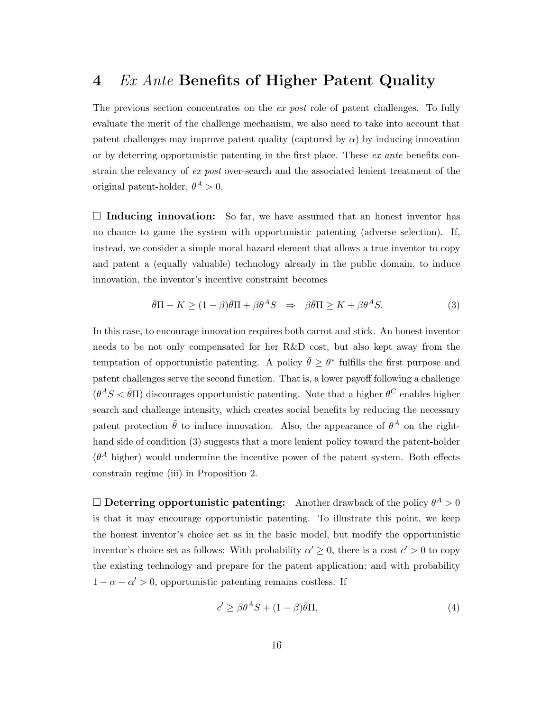## <span id="page-15-0"></span>4 Ex Ante Benefits of Higher Patent Quality

The previous section concentrates on the *ex post* role of patent challenges. To fully evaluate the merit of the challenge mechanism, we also need to take into account that patent challenges may improve patent quality (captured by  $\alpha$ ) by inducing innovation or by deterring opportunistic patenting in the first place. These  $ex$  ante benefits constrain the relevancy of ex post over-search and the associated lenient treatment of the original patent-holder,  $\theta^A > 0$ .

 $\square$  Inducing innovation: So far, we have assumed that an honest inventor has no chance to game the system with opportunistic patenting (adverse selection). If, instead, we consider a simple moral hazard element that allows a true inventor to copy and patent a (equally valuable) technology already in the public domain, to induce innovation, the inventor's incentive constraint becomes

<span id="page-15-1"></span>
$$
\bar{\theta}\Pi - K \ge (1 - \beta)\bar{\theta}\Pi + \beta\theta^A S \quad \Rightarrow \quad \beta\bar{\theta}\Pi \ge K + \beta\theta^A S. \tag{3}
$$

In this case, to encourage innovation requires both carrot and stick. An honest inventor needs to be not only compensated for her R&D cost, but also kept away from the temptation of opportunistic patenting. A policy  $\bar{\theta} \geq \theta^*$  fulfills the first purpose and patent challenges serve the second function. That is, a lower payoff following a challenge  $(\theta^A S \lt \bar{\theta} \Pi)$  discourages opportunistic patenting. Note that a higher  $\theta^C$  enables higher search and challenge intensity, which creates social benefits by reducing the necessary patent protection  $\bar{\theta}$  to induce innovation. Also, the appearance of  $\theta^A$  on the right-hand side of condition [\(3\)](#page-15-1) suggests that a more lenient policy toward the patent-holder  $(\theta^A)$  higher) would undermine the incentive power of the patent system. Both effects constrain regime (iii) in Proposition [2.](#page-13-1)

 $\Box$  Deterring opportunistic patenting: Another drawback of the policy  $\theta^A > 0$ is that it may encourage opportunistic patenting. To illustrate this point, we keep the honest inventor's choice set as in the basic model, but modify the opportunistic inventor's choice set as follows: With probability  $\alpha' \geq 0$ , there is a cost  $c' > 0$  to copy the existing technology and prepare for the patent application; and with probability  $1 - \alpha - \alpha' > 0$ , opportunistic patenting remains costless. If

<span id="page-15-2"></span>
$$
c' \ge \beta \theta^A S + (1 - \beta)\bar{\theta}\Pi,\tag{4}
$$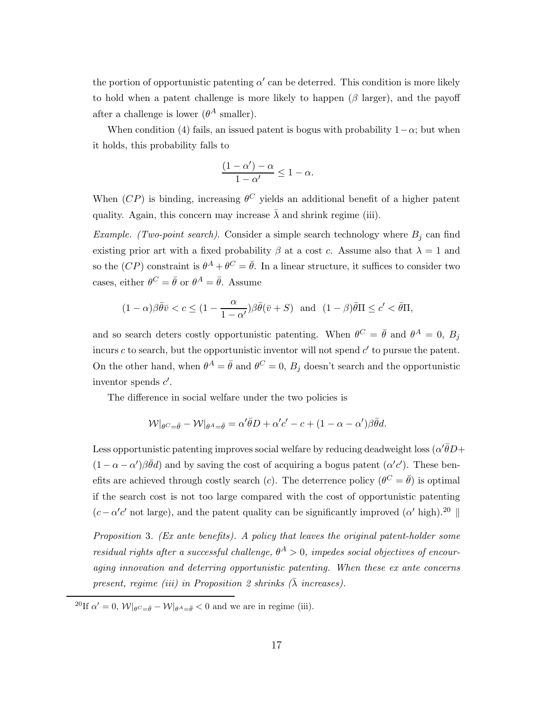the portion of opportunistic patenting  $\alpha'$  can be deterred. This condition is more likely to hold when a patent challenge is more likely to happen  $(\beta \text{ larger})$ , and the payoff after a challenge is lower  $(\theta^A \text{ smaller})$ .

When condition [\(4\)](#page-15-2) fails, an issued patent is bogus with probability  $1-\alpha$ ; but when it holds, this probability falls to

$$
\frac{(1-\alpha')-\alpha}{1-\alpha'} \le 1-\alpha.
$$

When  $(CP)$  is binding, increasing  $\theta^C$  yields an additional benefit of a higher patent quality. Again, this concern may increase  $\lambda$  and shrink regime (iii).

Example. (Two-point search). Consider a simple search technology where  $B_j$  can find existing prior art with a fixed probability  $\beta$  at a cost c. Assume also that  $\lambda = 1$  and so the  $(CP)$  constraint is  $\theta^A + \theta^C = \overline{\theta}$ . In a linear structure, it suffices to consider two cases, either  $\theta^C = \bar{\theta}$  or  $\theta^A = \bar{\theta}$ . Assume

$$
(1 - \alpha)\beta \bar{\theta}\bar{v} < c \le (1 - \frac{\alpha}{1 - \alpha'})\beta \bar{\theta}(\bar{v} + S) \quad \text{and} \quad (1 - \beta)\bar{\theta}\Pi \le c' < \bar{\theta}\Pi,
$$

and so search deters costly opportunistic patenting. When  $\theta^C = \bar{\theta}$  and  $\theta^A = 0$ ,  $B_j$ incurs  $c$  to search, but the opportunistic inventor will not spend  $c'$  to pursue the patent. On the other hand, when  $\theta^A = \bar{\theta}$  and  $\theta^C = 0$ ,  $B_j$  doesn't search and the opportunistic inventor spends  $c'$ .

The difference in social welfare under the two policies is

$$
\mathcal{W}|_{\theta^C = \bar{\theta}} - \mathcal{W}|_{\theta^A = \bar{\theta}} = \alpha' \bar{\theta} D + \alpha' c' - c + (1 - \alpha - \alpha')\beta \bar{\theta} d.
$$

Less opportunistic patenting improves social welfare by reducing deadweight loss  $(\alpha'\bar{\theta}D +$  $(1 - \alpha - \alpha')\beta\bar{\theta}d$  and by saving the cost of acquiring a bogus patent  $(\alpha'c')$ . These benefits are achieved through costly search (*c*). The deterrence policy  $(\theta^C = \bar{\theta})$  is optimal if the search cost is not too large compared with the cost of opportunistic patenting  $(c - \alpha' c'$  not large), and the patent quality can be significantly improved  $(\alpha'$  high).<sup>20</sup>

Proposition 3. (Ex ante benefits). A policy that leaves the original patent-holder some residual rights after a successful challenge,  $\theta^A > 0$ , impedes social objectives of encouraging innovation and deterring opportunistic patenting. When these ex ante concerns present, regime (iii) in Proposition [2](#page-13-1) shrinks  $(\bar{\lambda}$  increases).

<sup>&</sup>lt;sup>20</sup>If  $\alpha' = 0$ ,  $\mathcal{W}|_{\theta C = \bar{\theta}} - \mathcal{W}|_{\theta A = \bar{\theta}} < 0$  and we are in regime (iii).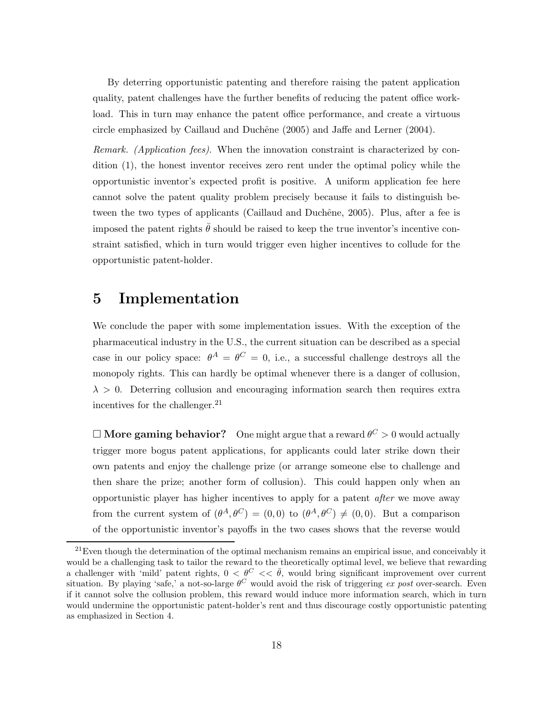By deterring opportunistic patenting and therefore raising the patent application quality, patent challenges have the further benefits of reducing the patent office workload. This in turn may enhance the patent office performance, and create a virtuous circle emphasized by Caillaud and Duchêne  $(2005)$  and Jaffe and Lerner  $(2004)$ .

Remark. (Application fees). When the innovation constraint is characterized by condition [\(1\)](#page-7-0), the honest inventor receives zero rent under the optimal policy while the opportunistic inventor's expected profit is positive. A uniform application fee here cannot solve the patent quality problem precisely because it fails to distinguish be-tween the two types of applicants (Caillaud and Duchêne, [2005](#page-45-9)). Plus, after a fee is imposed the patent rights  $\bar{\theta}$  should be raised to keep the true inventor's incentive constraint satisfied, which in turn would trigger even higher incentives to collude for the opportunistic patent-holder.

## <span id="page-17-0"></span>5 Implementation

We conclude the paper with some implementation issues. With the exception of the pharmaceutical industry in the U.S., the current situation can be described as a special case in our policy space:  $\theta^A = \theta^C = 0$ , i.e., a successful challenge destroys all the monopoly rights. This can hardly be optimal whenever there is a danger of collusion,  $\lambda > 0$ . Deterring collusion and encouraging information search then requires extra incentives for the challenger. $^{21}$ 

 $\Box$   ${\bf More \;gaming \; behavior?}\quad$  One might argue that a reward  $\theta^C>0$  would actually trigger more bogus patent applications, for applicants could later strike down their own patents and enjoy the challenge prize (or arrange someone else to challenge and then share the prize; another form of collusion). This could happen only when an opportunistic player has higher incentives to apply for a patent after we move away from the current system of  $(\theta^A, \theta^C) = (0, 0)$  to  $(\theta^A, \theta^C) \neq (0, 0)$ . But a comparison of the opportunistic inventor's payoffs in the two cases shows that the reverse would

 $21$ Even though the determination of the optimal mechanism remains an empirical issue, and conceivably it would be a challenging task to tailor the reward to the theoretically optimal level, we believe that rewarding a challenger with 'mild' patent rights,  $0 < \theta^C < \overline{\theta}$ , would bring significant improvement over current situation. By playing 'safe,' a not-so-large  $\theta^C$  would avoid the risk of triggering ex post over-search. Even if it cannot solve the collusion problem, this reward would induce more information search, which in turn would undermine the opportunistic patent-holder's rent and thus discourage costly opportunistic patenting as emphasized in Section [4.](#page-15-0)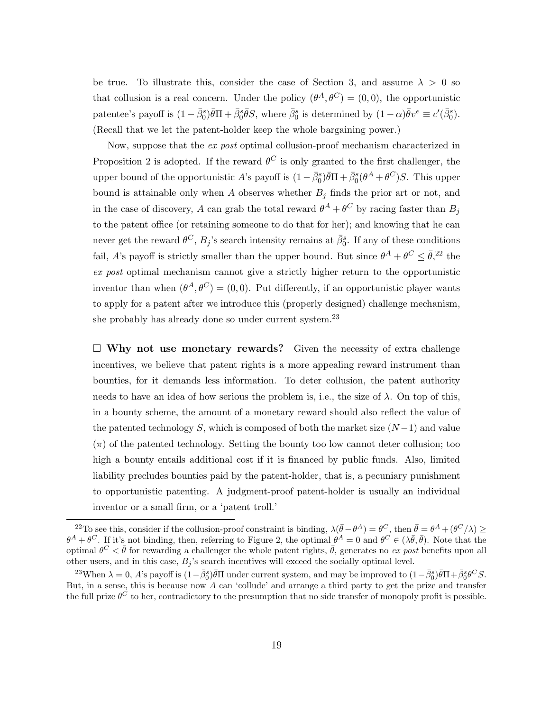be true. To illustrate this, consider the case of Section [3,](#page-9-0) and assume  $\lambda > 0$  so that collusion is a real concern. Under the policy  $(\theta^A, \theta^C) = (0, 0)$ , the opportunistic patentee's payoff is  $(1 - \bar{\beta}_0^s)\bar{\theta}\Pi + \bar{\beta}_0^s\bar{\theta}S$ , where  $\bar{\beta}_0^s$  is determined by  $(1 - \alpha)\bar{\theta}v^e \equiv c'(\bar{\beta}_0^s)$ . (Recall that we let the patent-holder keep the whole bargaining power.)

Now, suppose that the ex post optimal collusion-proof mechanism characterized in Proposition [2](#page-13-1) is adopted. If the reward  $\theta^C$  is only granted to the first challenger, the upper bound of the opportunistic A's payoff is  $(1-\bar{\beta}_0^s)\bar{\theta}\Pi + \bar{\beta}_0^s(\theta^A+\theta^C)S$ . This upper bound is attainable only when  $A$  observes whether  $B_j$  finds the prior art or not, and in the case of discovery, A can grab the total reward  $\theta^A + \theta^C$  by racing faster than  $B_j$ to the patent office (or retaining someone to do that for her); and knowing that he can never get the reward  $\theta^C$ ,  $B_j$ 's search intensity remains at  $\bar{\beta}_0^s$ . If any of these conditions fail, A's payoff is strictly smaller than the upper bound. But since  $\theta^A + \theta^C \leq \bar{\theta}^2$ , the ex post optimal mechanism cannot give a strictly higher return to the opportunistic inventor than when  $(\theta^A, \theta^C) = (0, 0)$ . Put differently, if an opportunistic player wants to apply for a patent after we introduce this (properly designed) challenge mechanism, she probably has already done so under current system.<sup>23</sup>

 $\Box$  Why not use monetary rewards? Given the necessity of extra challenge incentives, we believe that patent rights is a more appealing reward instrument than bounties, for it demands less information. To deter collusion, the patent authority needs to have an idea of how serious the problem is, i.e., the size of  $\lambda$ . On top of this, in a bounty scheme, the amount of a monetary reward should also reflect the value of the patented technology S, which is composed of both the market size  $(N-1)$  and value  $(\pi)$  of the patented technology. Setting the bounty too low cannot deter collusion; too high a bounty entails additional cost if it is financed by public funds. Also, limited liability precludes bounties paid by the patent-holder, that is, a pecuniary punishment to opportunistic patenting. A judgment-proof patent-holder is usually an individual inventor or a small firm, or a 'patent troll.'

<sup>&</sup>lt;sup>22</sup>To see this, consider if the collusion-proof constraint is binding,  $\lambda(\bar{\theta}-\theta^A)=\theta^C$ , then  $\bar{\theta}=\theta^A+(\theta^C/\lambda)\geq 0$  $\theta^A + \theta^C$ . If it's not binding, then, referring to Figure [2,](#page-13-0) the optimal  $\theta^A = 0$  and  $\theta^C \in (\lambda \bar{\theta}, \bar{\theta})$ . Note that the optimal  $\theta^C < \bar{\theta}$  for rewarding a challenger the whole patent rights,  $\bar{\theta}$ , generates no ex post benefits upon all other users, and in this case,  $B_j$ 's search incentives will exceed the socially optimal level.

<sup>&</sup>lt;sup>23</sup>When  $\lambda = 0$ , A's payoff is  $(1 - \bar{\beta}_0^s)\bar{\theta}\Pi$  under current system, and may be improved to  $(1 - \bar{\beta}_0^s)\bar{\theta}\Pi + \bar{\beta}_0^s\theta^C S$ . But, in a sense, this is because now  $A$  can 'collude' and arrange a third party to get the prize and transfer the full prize  $\theta^C$  to her, contradictory to the presumption that no side transfer of monopoly profit is possible.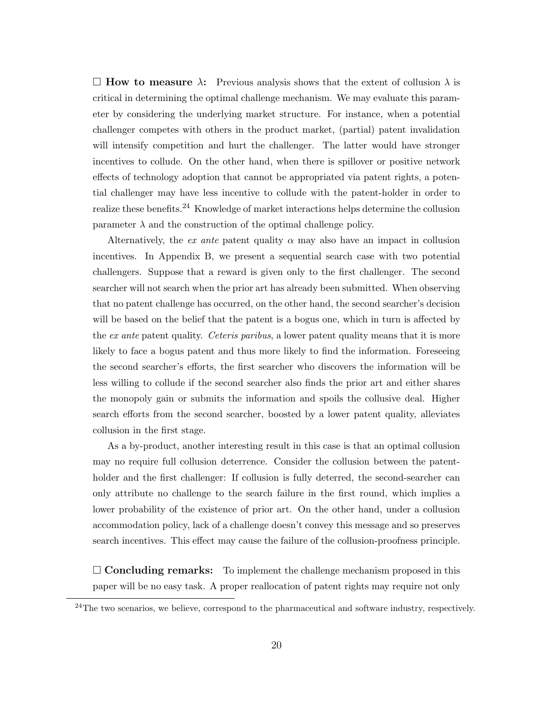$\Box$  How to measure  $\lambda$ : Previous analysis shows that the extent of collusion  $\lambda$  is critical in determining the optimal challenge mechanism. We may evaluate this parameter by considering the underlying market structure. For instance, when a potential challenger competes with others in the product market, (partial) patent invalidation will intensify competition and hurt the challenger. The latter would have stronger incentives to collude. On the other hand, when there is spillover or positive network effects of technology adoption that cannot be appropriated via patent rights, a potential challenger may have less incentive to collude with the patent-holder in order to realize these benefits.<sup>24</sup> Knowledge of market interactions helps determine the collusion parameter  $\lambda$  and the construction of the optimal challenge policy.

Alternatively, the ex ante patent quality  $\alpha$  may also have an impact in collusion incentives. In Appendix [B,](#page-23-0) we present a sequential search case with two potential challengers. Suppose that a reward is given only to the first challenger. The second searcher will not search when the prior art has already been submitted. When observing that no patent challenge has occurred, on the other hand, the second searcher's decision will be based on the belief that the patent is a bogus one, which in turn is affected by the ex ante patent quality. Ceteris paribus, a lower patent quality means that it is more likely to face a bogus patent and thus more likely to find the information. Foreseeing the second searcher's efforts, the first searcher who discovers the information will be less willing to collude if the second searcher also finds the prior art and either shares the monopoly gain or submits the information and spoils the collusive deal. Higher search efforts from the second searcher, boosted by a lower patent quality, alleviates collusion in the first stage.

As a by-product, another interesting result in this case is that an optimal collusion may no require full collusion deterrence. Consider the collusion between the patentholder and the first challenger: If collusion is fully deterred, the second-searcher can only attribute no challenge to the search failure in the first round, which implies a lower probability of the existence of prior art. On the other hand, under a collusion accommodation policy, lack of a challenge doesn't convey this message and so preserves search incentives. This effect may cause the failure of the collusion-proofness principle.

 $\Box$  Concluding remarks: To implement the challenge mechanism proposed in this paper will be no easy task. A proper reallocation of patent rights may require not only

 $24$ The two scenarios, we believe, correspond to the pharmaceutical and software industry, respectively.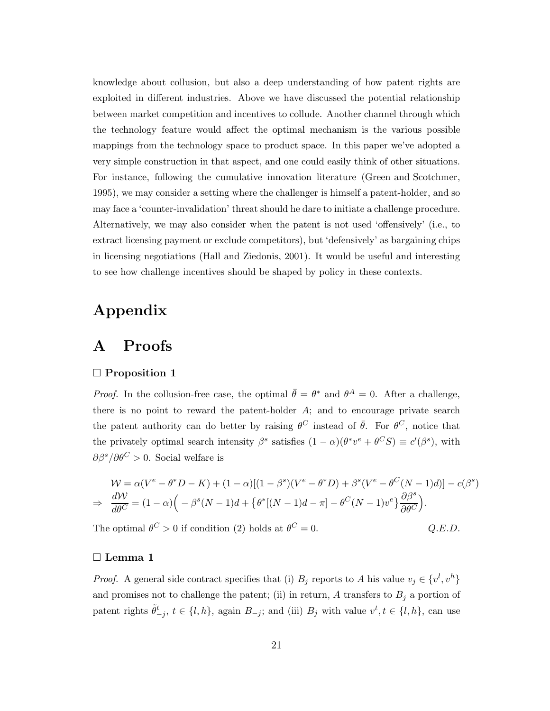knowledge about collusion, but also a deep understanding of how patent rights are exploited in different industries. Above we have discussed the potential relationship between market competition and incentives to collude. Another channel through which the technology feature would affect the optimal mechanism is the various possible mappings from the technology space to product space. In this paper we've adopted a very simple construction in that aspect, and one could easily think of other situations. For instance, following the cumulative innovation literature [\(Green and Scotchmer](#page-45-0), [1995](#page-45-0)), we may consider a setting where the challenger is himself a patent-holder, and so may face a 'counter-invalidation' threat should he dare to initiate a challenge procedure. Alternatively, we may also consider when the patent is not used 'offensively' (i.e., to extract licensing payment or exclude competitors), but 'defensively' as bargaining chips in licensing negotiations [\(Hall and Ziedonis](#page-45-10), [2001](#page-45-10)). It would be useful and interesting to see how challenge incentives should be shaped by policy in these contexts.

## <span id="page-20-0"></span>Appendix

## A Proofs

#### $\Box$  Proposition [1](#page-10-1)

*Proof.* In the collusion-free case, the optimal  $\bar{\theta} = \theta^*$  and  $\theta^A = 0$ . After a challenge, there is no point to reward the patent-holder  $A$ ; and to encourage private search the patent authority can do better by raising  $\theta^C$  instead of  $\bar{\theta}$ . For  $\theta^C$ , notice that the privately optimal search intensity  $\beta^s$  satisfies  $(1 - \alpha)(\theta^* v^e + \theta^C S) \equiv c'(\beta^s)$ , with  $\partial \beta^s / \partial \theta^C > 0$ . Social welfare is

$$
\mathcal{W} = \alpha (V^e - \theta^* D - K) + (1 - \alpha)[(1 - \beta^s)(V^e - \theta^* D) + \beta^s (V^e - \theta^C (N - 1)d)] - c(\beta^s)
$$
  
\n
$$
\Rightarrow \frac{d\mathcal{W}}{d\theta^C} = (1 - \alpha) \left( -\beta^s (N - 1)d + \{ \theta^* [(N - 1)d - \pi] - \theta^C (N - 1)v^e \} \frac{\partial \beta^s}{\partial \theta^C} \right).
$$

 $Q.E.D.$ 

The optimal  $\theta^C > 0$  if condition [\(2\)](#page-10-0) holds at  $\theta$ 

#### □ Lemma [1](#page-11-1)

*Proof.* A general side contract specifies that (i)  $B_j$  reports to A his value  $v_j \in \{v^l, v^h\}$ and promises not to challenge the patent; (ii) in return, A transfers to  $B_j$  a portion of patent rights  $\tilde{\theta}^t_{-j}$ ,  $t \in \{l, h\}$ , again  $B_{-j}$ ; and (iii)  $B_j$  with value  $v^t, t \in \{l, h\}$ , can use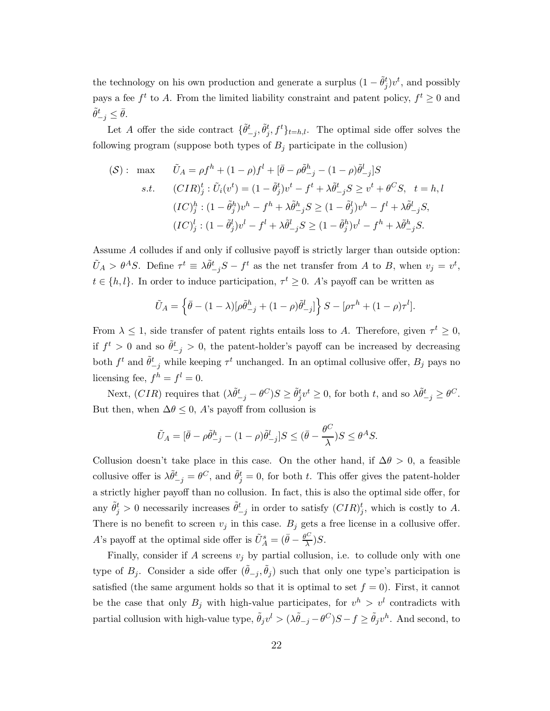the technology on his own production and generate a surplus  $(1 - \tilde{\theta}_j^t)v^t$ , and possibly pays a fee  $f^t$  to A. From the limited liability constraint and patent policy,  $f^t \geq 0$  and  $\tilde{\theta}_{-j}^t \leq \bar{\theta}.$ 

Let A offer the side contract  $\{\tilde{\theta}^t_{-j}, \tilde{\theta}^t_j, f^t\}_{t=h,l}$ . The optimal side offer solves the following program (suppose both types of  $B_i$  participate in the collusion)

$$
\begin{aligned} \text{(S)}: \quad & \text{max} \qquad \tilde{U}_A = \rho f^h + (1 - \rho)f^l + [\bar{\theta} - \rho \tilde{\theta}_{-j}^h - (1 - \rho)\tilde{\theta}_{-j}^l]S \\ & \text{s.t.} \qquad (CIR)_j^t: \tilde{U}_i(v^t) = (1 - \tilde{\theta}_j^t)v^t - f^t + \lambda \tilde{\theta}_{-j}^t S \ge v^t + \theta^C S, \quad t = h, l \\ & (IC)_j^h: (1 - \tilde{\theta}_j^h)v^h - f^h + \lambda \tilde{\theta}_{-j}^h S \ge (1 - \tilde{\theta}_j^l)v^h - f^l + \lambda \tilde{\theta}_{-j}^l S, \\ & (IC)_j^l: (1 - \tilde{\theta}_j^l)v^l - f^l + \lambda \tilde{\theta}_{-j}^l S \ge (1 - \tilde{\theta}_j^h)v^l - f^h + \lambda \tilde{\theta}_{-j}^h S. \end{aligned}
$$

Assume  $A$  colludes if and only if collusive payoff is strictly larger than outside option:  $\tilde{U}_A > \theta^A S$ . Define  $\tau^t \equiv \lambda \tilde{\theta}^t_{-j} S - f^t$  as the net transfer from A to B, when  $v_j = v^t$ ,  $t \in \{h, l\}$ . In order to induce participation,  $\tau^t \geq 0$ . A's payoff can be written as

$$
\tilde{U}_A = \left\{ \bar{\theta} - (1 - \lambda) [\rho \tilde{\theta}_{-j}^h + (1 - \rho) \tilde{\theta}_{-j}^l] \right\} S - [\rho \tau^h + (1 - \rho) \tau^l].
$$

From  $\lambda \leq 1$ , side transfer of patent rights entails loss to A. Therefore, given  $\tau^t \geq 0$ , if  $f^t > 0$  and so  $\tilde{\theta}_{-j}^t > 0$ , the patent-holder's payoff can be increased by decreasing both  $f^t$  and  $\tilde{\theta}^t_{-j}$  while keeping  $\tau^t$  unchanged. In an optimal collusive offer,  $B_j$  pays no licensing fee,  $f^h = f^l = 0$ .

Next,  $(CIR)$  requires that  $(\lambda \tilde{\theta}^t_{-j} - \theta^C)S \geq \tilde{\theta}^t_j v^t \geq 0$ , for both t, and so  $\lambda \tilde{\theta}^t_{-j} \geq \theta^C$ . But then, when  $\Delta \theta \leq 0$ , A's payoff from collusion is

$$
\tilde{U}_A = [\bar{\theta} - \rho \tilde{\theta}^h_{-j} - (1 - \rho)\tilde{\theta}^l_{-j}]S \le (\bar{\theta} - \frac{\theta^C}{\lambda})S \le \theta^A S.
$$

Collusion doesn't take place in this case. On the other hand, if  $\Delta\theta > 0$ , a feasible collusive offer is  $\lambda \tilde{\theta}_{-j}^t = \theta^C$ , and  $\tilde{\theta}_j^t = 0$ , for both t. This offer gives the patent-holder a strictly higher payoff than no collusion. In fact, this is also the optimal side offer, for any  $\tilde{\theta}_j^t > 0$  necessarily increases  $\tilde{\theta}_{-j}^t$  in order to satisfy  $(CIR)_j^t$ , which is costly to A. There is no benefit to screen  $v_j$  in this case.  $B_j$  gets a free license in a collusive offer. A's payoff at the optimal side offer is  $\tilde{U}^s_A = (\bar{\theta} - \frac{\theta^C}{\lambda})$  $(\frac{\infty}{\lambda})S.$ 

Finally, consider if  $A$  screens  $v_j$  by partial collusion, i.e. to collude only with one type of  $B_j$ . Consider a side offer  $(\tilde{\theta}_{-j}, \tilde{\theta}_j)$  such that only one type's participation is satisfied (the same argument holds so that it is optimal to set  $f = 0$ ). First, it cannot be the case that only  $B_j$  with high-value participates, for  $v^h > v^l$  contradicts with partial collusion with high-value type,  $\tilde{\theta}_j v^l > (\lambda \tilde{\theta}_{-j} - \theta^C)S - f \ge \tilde{\theta}_j v^h$ . And second, to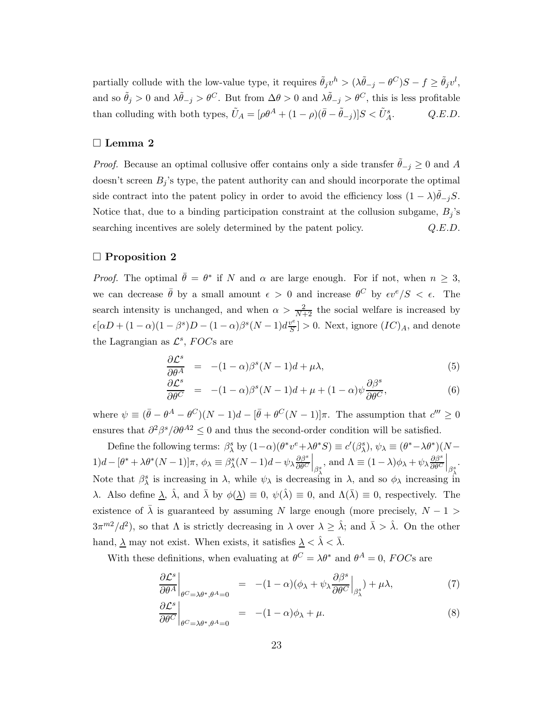partially collude with the low-value type, it requires  $\tilde{\theta}_j v^h > (\lambda \tilde{\theta}_{-j} - \theta^C)S - f \ge \tilde{\theta}_j v^l$ , and so  $\tilde{\theta}_j > 0$  and  $\lambda \tilde{\theta}_{-j} > \theta^C$ . But from  $\Delta \theta > 0$  and  $\lambda \tilde{\theta}_{-j} > \theta^C$ , this is less profitable than colluding with both types,  $\tilde{U}_A = [\rho \theta^A + (1 - \rho)(\bar{\theta} - \tilde{\theta}_{-j})]S < \tilde{U}_A^s$  $Q.E.D.$ 

#### □ Lemma [2](#page-11-0)

*Proof.* Because an optimal collusive offer contains only a side transfer  $\ddot{\theta}_{-j} \geq 0$  and A doesn't screen  $B_j$ 's type, the patent authority can and should incorporate the optimal side contract into the patent policy in order to avoid the efficiency loss  $(1 - \lambda)\tilde{\theta}_{-j}S$ . Notice that, due to a binding participation constraint at the collusion subgame,  $B_i$ 's searching incentives are solely determined by the patent policy.  $Q.E.D.$ 

#### $\Box$  Proposition [2](#page-13-1)

*Proof.* The optimal  $\bar{\theta} = \theta^*$  if N and  $\alpha$  are large enough. For if not, when  $n \geq 3$ , we can decrease  $\bar{\theta}$  by a small amount  $\epsilon > 0$  and increase  $\theta^C$  by  $\epsilon v^e/S < \epsilon$ . The search intensity is unchanged, and when  $\alpha > \frac{2}{N+2}$  the social welfare is increased by  $\epsilon[\alpha D + (1-\alpha)(1-\beta^s)D - (1-\alpha)\beta^s(N-1)d\frac{v^e}{S}$  $\left[\frac{\partial^{\mathcal{C}}}{\partial S}\right] > 0$ . Next, ignore  $(IC)_A$ , and denote the Lagrangian as  $\mathcal{L}^s$ , FOCs are

<span id="page-22-1"></span>
$$
\frac{\partial \mathcal{L}^s}{\partial \theta^A} = -(1-\alpha)\beta^s (N-1)d + \mu\lambda,\tag{5}
$$

$$
\frac{\partial \mathcal{L}^s}{\partial \theta^C} = -(1-\alpha)\beta^s (N-1)d + \mu + (1-\alpha)\psi \frac{\partial \beta^s}{\partial \theta^C},
$$
\n(6)

where  $\psi \equiv (\bar{\theta} - \theta^A - \theta^C)(N-1)d - [\bar{\theta} + \theta^C(N-1)]\pi$ . The assumption that  $c''' \geq 0$ ensures that  $\partial^2 \beta^s / \partial \theta^{A2} \leq 0$  and thus the second-order condition will be satisfied.

Define the following terms:  $\beta_{\lambda}^{s}$  by  $(1-\alpha)(\theta^{*}v^{e}+\lambda\theta^{*}S)\equiv c'(\beta_{\lambda}^{s}), \psi_{\lambda}\equiv (\theta^{*}-\lambda\theta^{*})(N-\theta_{\lambda}^{*})$  $1)d - [\theta^* + \lambda \theta^*(N-1)]\pi$ ,  $\phi_{\lambda} \equiv \beta^s_{\lambda}(N-1)d - \psi_{\lambda} \frac{\partial \beta^s}{\partial \theta^C}$  $\frac{\partial \beta^s}{\partial \theta^C}\Big|_{\beta^s_\lambda}$ , and  $\Lambda \equiv (1-\lambda) \phi_\lambda + \psi_\lambda \frac{\partial \beta^s}{\partial \theta^C}$ Note that  $\beta_{\lambda}^{s}$  is increasing in  $\lambda$ , while  $\psi_{\lambda}$  is decreasing in  $\lambda$ , and so  $\phi_{\lambda}$  increasing in  $\frac{\partial \beta^s}{\partial \theta^C}\Big|_{\beta^s_\lambda}.$  $\lambda$ . Also define  $\lambda$ ,  $\hat{\lambda}$ , and  $\bar{\lambda}$  by  $\phi(\underline{\lambda}) \equiv 0$ ,  $\psi(\hat{\lambda}) \equiv 0$ , and  $\Lambda(\bar{\lambda}) \equiv 0$ , respectively. The existence of  $\bar{\lambda}$  is guaranteed by assuming N large enough (more precisely,  $N-1$ )  $3\pi^{m}$ / $d^2$ ), so that  $\Lambda$  is strictly decreasing in  $\lambda$  over  $\lambda \geq \hat{\lambda}$ ; and  $\bar{\lambda} > \hat{\lambda}$ . On the other hand,  $\underline{\lambda}$  may not exist. When exists, it satisfies  $\underline{\lambda} < \hat{\lambda} < \overline{\lambda}$ .

With these definitions, when evaluating at  $\theta^C = \lambda \theta^*$  and  $\theta^A = 0$ , FOCs are

<span id="page-22-0"></span>
$$
\left. \frac{\partial \mathcal{L}^s}{\partial \theta^A} \right|_{\theta^C = \lambda \theta^*, \theta^A = 0} = -(1 - \alpha)(\phi_\lambda + \psi_\lambda \frac{\partial \beta^s}{\partial \theta^C} \Big|_{\beta^s_\lambda}) + \mu \lambda,\tag{7}
$$

$$
\left. \frac{\partial \mathcal{L}^s}{\partial \theta^C} \right|_{\theta^C = \lambda \theta^*, \theta^A = 0} = - (1 - \alpha) \phi_\lambda + \mu. \tag{8}
$$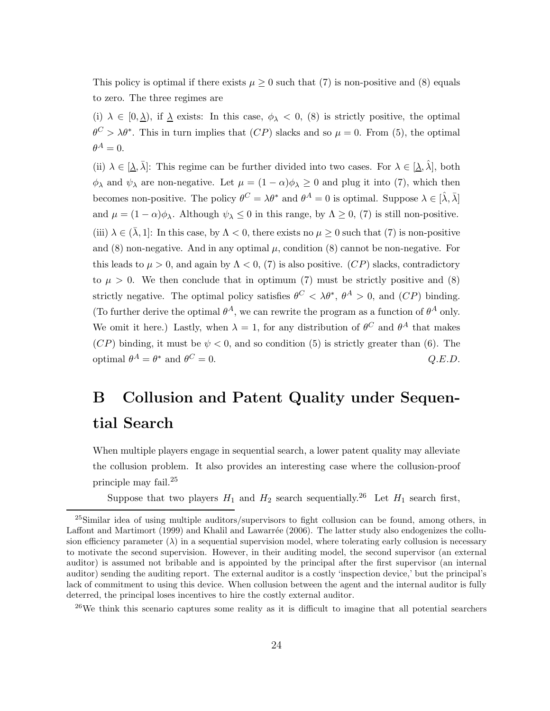This policy is optimal if there exists  $\mu \geq 0$  such that [\(7\)](#page-22-0) is non-positive and [\(8\)](#page-22-0) equals to zero. The three regimes are

(i)  $\lambda \in [0, \lambda)$ , if  $\lambda$  exists: In this case,  $\phi_{\lambda} < 0$ , [\(8\)](#page-22-0) is strictly positive, the optimal  $\theta^C > \lambda \theta^*$ . This in turn implies that  $(CP)$  slacks and so  $\mu = 0$ . From [\(5\)](#page-22-1), the optimal  $\theta^A=0.$ 

(ii)  $\lambda \in [\underline{\lambda}, \overline{\lambda}]$ : This regime can be further divided into two cases. For  $\lambda \in [\underline{\lambda}, \hat{\lambda}]$ , both  $\phi_{\lambda}$  and  $\psi_{\lambda}$  are non-negative. Let  $\mu = (1 - \alpha)\phi_{\lambda} \geq 0$  and plug it into [\(7\)](#page-22-0), which then becomes non-positive. The policy  $\theta^C = \lambda \theta^*$  and  $\theta^A = 0$  is optimal. Suppose  $\lambda \in [\hat{\lambda}, \bar{\lambda}]$ and  $\mu = (1 - \alpha)\phi_{\lambda}$ . Although  $\psi_{\lambda} \leq 0$  in this range, by  $\Lambda \geq 0$ , [\(7\)](#page-22-0) is still non-positive. (iii)  $\lambda \in (\bar{\lambda}, 1]$ : In this case, by  $\Lambda < 0$ , there exists no  $\mu \geq 0$  such that [\(7\)](#page-22-0) is non-positive and  $(8)$  non-negative. And in any optimal  $\mu$ , condition  $(8)$  cannot be non-negative. For this leads to  $\mu > 0$ , and again by  $\Lambda < 0$ , [\(7\)](#page-22-0) is also positive. (CP) slacks, contradictory to  $\mu > 0$ . We then conclude that in optimum [\(7\)](#page-22-0) must be strictly positive and [\(8\)](#page-22-0) strictly negative. The optimal policy satisfies  $\theta^C < \lambda \theta^*, \ \theta^A > 0$ , and  $(CP)$  binding. (To further derive the optimal  $\theta^A$ , we can rewrite the program as a function of  $\theta^A$  only. We omit it here.) Lastly, when  $\lambda = 1$ , for any distribution of  $\theta^C$  and  $\theta^A$  that makes  $(CP)$  binding, it must be  $\psi < 0$ , and so condition [\(5\)](#page-22-1) is strictly greater than [\(6\)](#page-22-1). The optimal  $\theta^A = \theta^*$  and  $\theta$  $C = 0.$   $Q.E.D.$ 

## <span id="page-23-0"></span>B Collusion and Patent Quality under Sequential Search

When multiple players engage in sequential search, a lower patent quality may alleviate the collusion problem. It also provides an interesting case where the collusion-proof principle may fail.<sup>25</sup>

Suppose that two players  $H_1$  and  $H_2$  search sequentially.<sup>26</sup> Let  $H_1$  search first,

<sup>26</sup>We think this scenario captures some reality as it is difficult to imagine that all potential searchers

<sup>25</sup>Similar idea of using multiple auditors/supervisors to fight collusion can be found, among others, in [Laffont and Martimort \(1999\)](#page-46-10) and Khalil and Lawarrée (2006). The latter study also endogenizes the collusion efficiency parameter  $(\lambda)$  in a sequential supervision model, where tolerating early collusion is necessary to motivate the second supervision. However, in their auditing model, the second supervisor (an external auditor) is assumed not bribable and is appointed by the principal after the first supervisor (an internal auditor) sending the auditing report. The external auditor is a costly 'inspection device,' but the principal's lack of commitment to using this device. When collusion between the agent and the internal auditor is fully deterred, the principal loses incentives to hire the costly external auditor.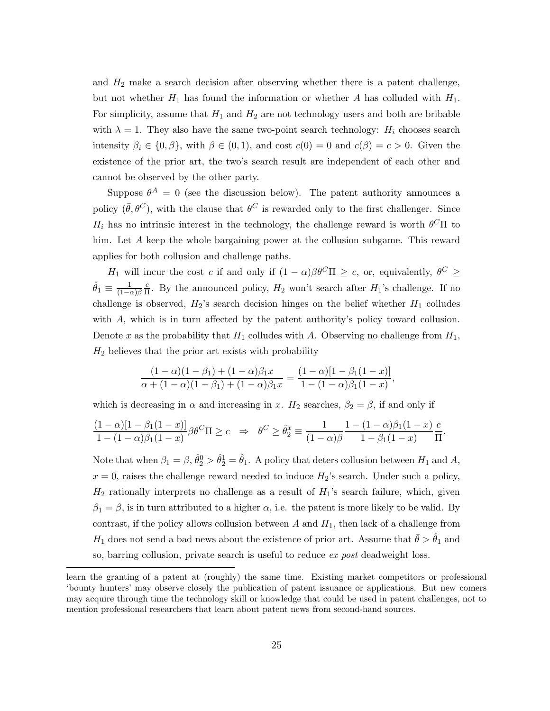and  $H_2$  make a search decision after observing whether there is a patent challenge, but not whether  $H_1$  has found the information or whether A has colluded with  $H_1$ . For simplicity, assume that  $H_1$  and  $H_2$  are not technology users and both are bribable with  $\lambda = 1$ . They also have the same two-point search technology:  $H_i$  chooses search intensity  $\beta_i \in \{0, \beta\}$ , with  $\beta \in (0, 1)$ , and cost  $c(0) = 0$  and  $c(\beta) = c > 0$ . Given the existence of the prior art, the two's search result are independent of each other and cannot be observed by the other party.

Suppose  $\theta^A = 0$  (see the discussion below). The patent authority announces a policy  $(\bar{\theta}, \theta^C)$ , with the clause that  $\theta^C$  is rewarded only to the first challenger. Since  $H_i$  has no intrinsic interest in the technology, the challenge reward is worth  $\theta^C\Pi$  to him. Let A keep the whole bargaining power at the collusion subgame. This reward applies for both collusion and challenge paths.

H<sub>1</sub> will incur the cost c if and only if  $(1 - \alpha)\beta\theta^C\Pi \geq c$ , or, equivalently,  $\theta^C \geq$  $\hat{\theta}_1 \equiv \frac{1}{(1-\alpha)\beta} \frac{c}{\Pi}$  $\frac{c}{\Pi}$ . By the announced policy,  $H_2$  won't search after  $H_1$ 's challenge. If no challenge is observed,  $H_2$ 's search decision hinges on the belief whether  $H_1$  colludes with  $A$ , which is in turn affected by the patent authority's policy toward collusion. Denote x as the probability that  $H_1$  colludes with A. Observing no challenge from  $H_1$ ,  $H_2$  believes that the prior art exists with probability

$$
\frac{(1-\alpha)(1-\beta_1) + (1-\alpha)\beta_1x}{\alpha + (1-\alpha)(1-\beta_1) + (1-\alpha)\beta_1x} = \frac{(1-\alpha)[1-\beta_1(1-x)]}{1-(1-\alpha)\beta_1(1-x)},
$$

which is decreasing in  $\alpha$  and increasing in x.  $H_2$  searches,  $\beta_2 = \beta$ , if and only if

$$
\frac{(1-\alpha)[1-\beta_1(1-x)]}{1-(1-\alpha)\beta_1(1-x)}\beta\theta^C\Pi \ge c \quad \Rightarrow \quad \theta^C \ge \hat{\theta}_2^x \equiv \frac{1}{(1-\alpha)\beta}\frac{1-(1-\alpha)\beta_1(1-x)}{1-\beta_1(1-x)}\frac{c}{\Pi}.
$$

Note that when  $\beta_1 = \beta$ ,  $\hat{\theta}_2^0 > \hat{\theta}_2^1 = \hat{\theta}_1$ . A policy that deters collusion between  $H_1$  and  $A$ ,  $x = 0$ , raises the challenge reward needed to induce  $H_2$ 's search. Under such a policy,  $H_2$  rationally interprets no challenge as a result of  $H_1$ 's search failure, which, given  $\beta_1 = \beta$ , is in turn attributed to a higher  $\alpha$ , i.e. the patent is more likely to be valid. By contrast, if the policy allows collusion between  $A$  and  $H_1$ , then lack of a challenge from  $H_1$  does not send a bad news about the existence of prior art. Assume that  $\bar{\theta} > \hat{\theta}_1$  and so, barring collusion, private search is useful to reduce ex post deadweight loss.

learn the granting of a patent at (roughly) the same time. Existing market competitors or professional 'bounty hunters' may observe closely the publication of patent issuance or applications. But new comers may acquire through time the technology skill or knowledge that could be used in patent challenges, not to mention professional researchers that learn about patent news from second-hand sources.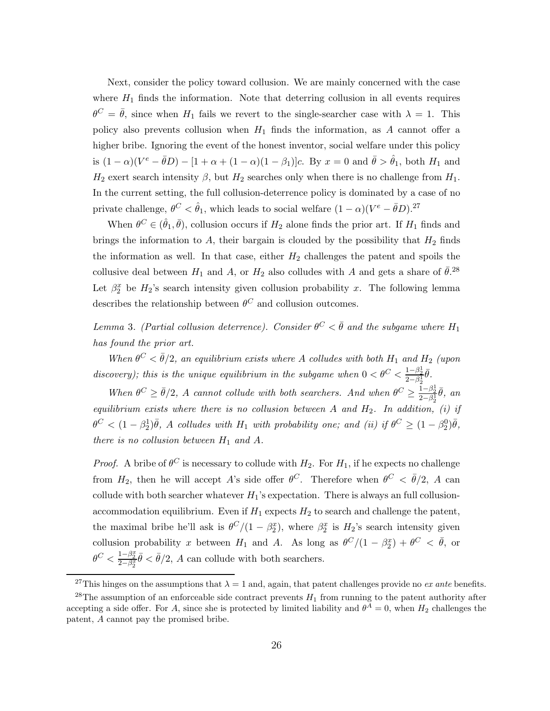Next, consider the policy toward collusion. We are mainly concerned with the case where  $H_1$  finds the information. Note that deterring collusion in all events requires  $\theta^C = \bar{\theta}$ , since when  $H_1$  fails we revert to the single-searcher case with  $\lambda = 1$ . This policy also prevents collusion when  $H_1$  finds the information, as A cannot offer a higher bribe. Ignoring the event of the honest inventor, social welfare under this policy is  $(1 - \alpha)(V^e - \bar{\theta}D) - [1 + \alpha + (1 - \alpha)(1 - \beta_1)]c$ . By  $x = 0$  and  $\bar{\theta} > \hat{\theta}_1$ , both  $H_1$  and  $H_2$  exert search intensity  $\beta$ , but  $H_2$  searches only when there is no challenge from  $H_1$ . In the current setting, the full collusion-deterrence policy is dominated by a case of no private challenge,  $\theta^C < \hat{\theta}_1$ , which leads to social welfare  $(1 - \alpha)(V^e - \bar{\theta}D)^{27}$ 

When  $\theta^C \in (\hat{\theta}_1, \bar{\theta})$ , collusion occurs if  $H_2$  alone finds the prior art. If  $H_1$  finds and brings the information to  $A$ , their bargain is clouded by the possibility that  $H_2$  finds the information as well. In that case, either  $H_2$  challenges the patent and spoils the collusive deal between  $H_1$  and  $A$ , or  $H_2$  also colludes with  $A$  and gets a share of  $\bar{\theta}$ .<sup>28</sup> Let  $\beta_2^x$  be  $H_2$ 's search intensity given collusion probability x. The following lemma describes the relationship between  $\theta^C$  and collusion outcomes.

<span id="page-25-0"></span>Lemma 3. (Partial collusion deterrence). Consider  $\theta^C < \bar{\theta}$  and the subgame where  $H_1$ has found the prior art.

When  $\theta^C < \bar{\theta}/2$ , an equilibrium exists where A colludes with both  $H_1$  and  $H_2$  (upon discovery); this is the unique equilibrium in the subgame when  $0 < \theta^C < \frac{1-\beta_2^1}{2-\beta_2^1}\bar{\theta}$ .

When  $\theta^C \ge \bar{\theta}/2$ , A cannot collude with both searchers. And when  $\theta^C \ge \frac{1-\beta_2^1}{2-\beta_2^1}\bar{\theta}$ , an equilibrium exists where there is no collusion between A and  $H_2$ . In addition, (i) if  $\theta^C < (1 - \beta_2^1)\bar{\theta}$ , A colludes with  $H_1$  with probability one; and (ii) if  $\theta^C \geq (1 - \beta_2^0)\bar{\theta}$ , there is no collusion between  $H_1$  and  $A$ .

*Proof.* A bribe of  $\theta^C$  is necessary to collude with  $H_2$ . For  $H_1$ , if he expects no challenge from  $H_2$ , then he will accept A's side offer  $\theta^C$ . Therefore when  $\theta^C < \bar{\theta}/2$ , A can collude with both searcher whatever  $H_1$ 's expectation. There is always an full collusionaccommodation equilibrium. Even if  $H_1$  expects  $H_2$  to search and challenge the patent, the maximal bribe he'll ask is  $\theta^C/(1-\beta_2^x)$ , where  $\beta_2^x$  is  $H_2$ 's search intensity given collusion probability x between  $H_1$  and A. As long as  $\theta^C/(1-\beta_2^x)+\theta^C < \bar{\theta}$ , or  $\theta^C < \frac{1-\beta_2^x}{2-\beta_2^x} \bar{\theta} < \bar{\theta}/2$ , A can collude with both searchers.

<sup>&</sup>lt;sup>27</sup>This hinges on the assumptions that  $\lambda = 1$  and, again, that patent challenges provide no *ex ante* benefits.

<sup>&</sup>lt;sup>28</sup>The assumption of an enforceable side contract prevents  $H_1$  from running to the patent authority after accepting a side offer. For A, since she is protected by limited liability and  $\theta^A = 0$ , when  $H_2$  challenges the patent, A cannot pay the promised bribe.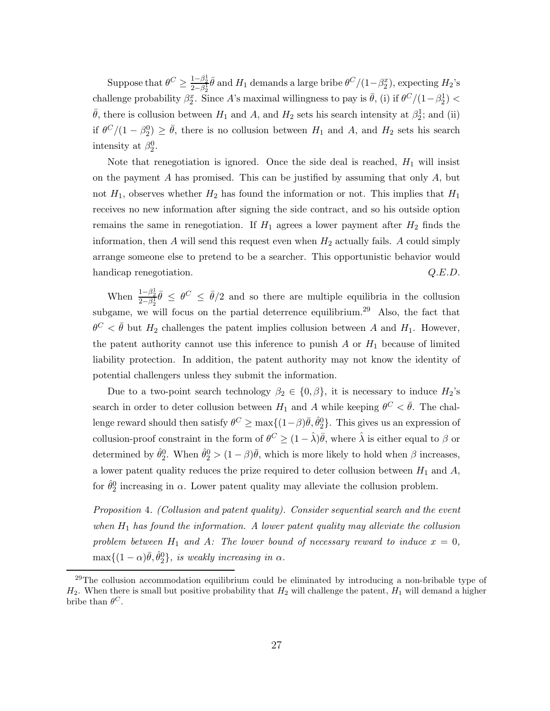Suppose that  $\theta^C \ge \frac{1-\beta_2^1}{2-\beta_2^1} \bar{\theta}$  and  $H_1$  demands a large bribe  $\theta^C/(1-\beta_2^x)$ , expecting  $H_2$ 's challenge probability  $\beta_2^x$ . Since A's maximal willingness to pay is  $\bar{\theta}$ , (i) if  $\theta^C/(1-\beta_2^1)$  $\bar{\theta}$ , there is collusion between  $H_1$  and  $A$ , and  $H_2$  sets his search intensity at  $\beta_2^1$ ; and (ii) if  $\theta^C/(1-\beta_2^0) \ge \bar{\theta}$ , there is no collusion between  $H_1$  and  $A$ , and  $H_2$  sets his search intensity at  $\beta_2^0$ .

Note that renegotiation is ignored. Once the side deal is reached,  $H_1$  will insist on the payment  $A$  has promised. This can be justified by assuming that only  $A$ , but not  $H_1$ , observes whether  $H_2$  has found the information or not. This implies that  $H_1$ receives no new information after signing the side contract, and so his outside option remains the same in renegotiation. If  $H_1$  agrees a lower payment after  $H_2$  finds the information, then  $A$  will send this request even when  $H_2$  actually fails.  $A$  could simply arrange someone else to pretend to be a searcher. This opportunistic behavior would handicap renegotiation.  $Q.E.D.$ 

When  $\frac{1-\beta_2^1}{2-\beta_2^1}\bar{\theta} \leq \theta^C \leq \bar{\theta}/2$  and so there are multiple equilibria in the collusion subgame, we will focus on the partial deterrence equilibrium.<sup>29</sup> Also, the fact that  $\theta^C < \bar{\theta}$  but  $H_2$  challenges the patent implies collusion between A and  $H_1$ . However, the patent authority cannot use this inference to punish  $A$  or  $H_1$  because of limited liability protection. In addition, the patent authority may not know the identity of potential challengers unless they submit the information.

Due to a two-point search technology  $\beta_2 \in \{0, \beta\}$ , it is necessary to induce  $H_2$ 's search in order to deter collusion between  $H_1$  and A while keeping  $\theta^C < \bar{\theta}$ . The challenge reward should then satisfy  $\theta^C \ge \max\{(1-\beta)\bar{\theta}, \hat{\theta}_2^0\}$ . This gives us an expression of collusion-proof constraint in the form of  $\theta^C \geq (1 - \hat{\lambda})\overline{\theta}$ , where  $\hat{\lambda}$  is either equal to  $\beta$  or determined by  $\hat{\theta}_2^0$ . When  $\hat{\theta}_2^0 > (1 - \beta)\bar{\theta}$ , which is more likely to hold when  $\beta$  increases, a lower patent quality reduces the prize required to deter collusion between  $H_1$  and  $A$ , for  $\hat{\theta}_2^0$  increasing in  $\alpha$ . Lower patent quality may alleviate the collusion problem.

Proposition 4. (Collusion and patent quality). Consider sequential search and the event when  $H_1$  has found the information. A lower patent quality may alleviate the collusion problem between  $H_1$  and  $A$ : The lower bound of necessary reward to induce  $x = 0$ ,  $\max\{(1-\alpha)\bar{\theta}, \hat{\theta}_2^0\}$ , is weakly increasing in  $\alpha$ .

<sup>&</sup>lt;sup>29</sup>The collusion accommodation equilibrium could be eliminated by introducing a non-bribable type of  $H_2$ . When there is small but positive probability that  $H_2$  will challenge the patent,  $H_1$  will demand a higher bribe than  $\theta^C$ .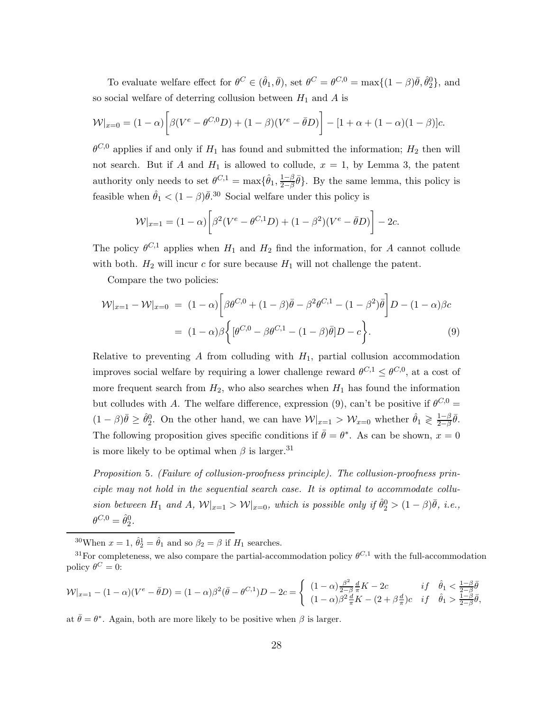To evaluate welfare effect for  $\theta^C \in (\hat{\theta}_1, \bar{\theta})$ , set  $\theta^C = \theta^{C,0} = \max\{(1-\beta)\bar{\theta}, \hat{\theta}_2^0\}$ , and so social welfare of deterring collusion between  $H_1$  and  $A$  is

$$
\mathcal{W}|_{x=0} = (1-\alpha) \bigg[ \beta (V^e - \theta^{C,0} D) + (1-\beta)(V^e - \bar{\theta} D) \bigg] - [1 + \alpha + (1-\alpha)(1-\beta)]c.
$$

 $\theta^{C,0}$  applies if and only if  $H_1$  has found and submitted the information;  $H_2$  then will not search. But if A and  $H_1$  is allowed to collude,  $x = 1$ , by Lemma [3,](#page-25-0) the patent authority only needs to set  $\theta^{C,1} = \max\{\hat{\theta}_1, \frac{1-\beta}{2-\beta}\}$  $\frac{1-\beta}{2-\beta}\bar{\theta}$ . By the same lemma, this policy is feasible when  $\hat{\theta}_1 < (1 - \beta)\bar{\theta}^{30}$  Social welfare under this policy is

$$
\mathcal{W}|_{x=1} = (1 - \alpha) \bigg[ \beta^2 (V^e - \theta^{C,1} D) + (1 - \beta^2) (V^e - \bar{\theta} D) \bigg] - 2c.
$$

The policy  $\theta^{C,1}$  applies when  $H_1$  and  $H_2$  find the information, for A cannot collude with both.  $H_2$  will incur c for sure because  $H_1$  will not challenge the patent.

Compare the two policies:

<span id="page-27-0"></span>
$$
\mathcal{W}|_{x=1} - \mathcal{W}|_{x=0} = (1 - \alpha) \left[ \beta \theta^{C,0} + (1 - \beta) \bar{\theta} - \beta^2 \theta^{C,1} - (1 - \beta^2) \bar{\theta} \right] D - (1 - \alpha) \beta c
$$
  
=  $(1 - \alpha) \beta \left\{ [\theta^{C,0} - \beta \theta^{C,1} - (1 - \beta) \bar{\theta}] D - c \right\}.$  (9)

Relative to preventing A from colluding with  $H_1$ , partial collusion accommodation improves social welfare by requiring a lower challenge reward  $\theta^{C,1} \leq \theta^{C,0}$ , at a cost of more frequent search from  $H_2$ , who also searches when  $H_1$  has found the information but colludes with A. The welfare difference, expression [\(9\)](#page-27-0), can't be positive if  $\theta^{C,0} =$  $(1-\beta)\bar{\theta} \geq \hat{\theta}_2^0$ . On the other hand, we can have  $\mathcal{W}|_{x=1} > \mathcal{W}_{x=0}$  whether  $\hat{\theta}_1 \geq \frac{1-\beta}{2-\beta}$  $rac{1-\beta}{2-\beta}\bar{\theta}.$ The following proposition gives specific conditions if  $\bar{\theta} = \theta^*$ . As can be shown,  $x = 0$ is more likely to be optimal when  $\beta$  is larger.<sup>31</sup>

Proposition 5. (Failure of collusion-proofness principle). The collusion-proofness principle may not hold in the sequential search case. It is optimal to accommodate collusion between  $H_1$  and  $A$ ,  $\mathcal{W}|_{x=1} > \mathcal{W}|_{x=0}$ , which is possible only if  $\hat{\theta}_2^0 > (1 - \beta)\bar{\theta}$ , i.e.,  $\theta^{C,0} = \hat{\theta}_2^0.$ 

<sup>30</sup>When  $x = 1$ ,  $\hat{\theta}_2^1 = \hat{\theta}_1$  and so  $\beta_2 = \beta$  if  $H_1$  searches.

$$
\mathcal{W}|_{x=1} - (1-\alpha)(V^e - \bar{\theta}D) = (1-\alpha)\beta^2(\bar{\theta} - \theta^{C,1})D - 2c = \begin{cases} (1-\alpha)\frac{\beta^2}{2-\beta}\frac{d}{\pi}K - 2c & \text{if } \hat{\theta}_1 < \frac{1-\beta}{2-\beta}\bar{\theta} \\ (1-\alpha)\beta^2\frac{d}{\pi}K - (2+\beta\frac{d}{\pi})c & \text{if } \hat{\theta}_1 > \frac{1-\beta}{2-\beta}\bar{\theta}, \end{cases}
$$

at  $\bar{\theta} = \theta^*$ . Again, both are more likely to be positive when  $\beta$  is larger.

<sup>&</sup>lt;sup>31</sup>For completeness, we also compare the partial-accommodation policy  $\theta^{C,1}$  with the full-accommodation policy  $\theta^C = 0$ :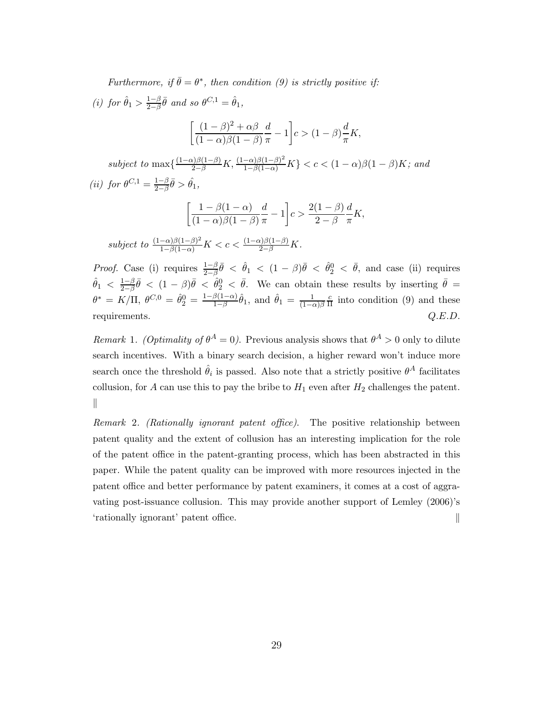Furthermore, if  $\bar{\theta} = \theta^*$ , then condition [\(9\)](#page-27-0) is strictly positive if:

(i) for  $\hat{\theta}_1 > \frac{1-\beta}{2-\beta}$  $\frac{1-\beta}{2-\beta}\bar{\theta}$  and so  $\theta^{C,1} = \hat{\theta}_1$ ,

$$
\left[\frac{(1-\beta)^2 + \alpha\beta}{(1-\alpha)\beta(1-\beta)}\frac{d}{\pi} - 1\right]c > (1-\beta)\frac{d}{\pi}K,
$$

subject to  $\max\left\{\frac{(1-\alpha)\beta(1-\beta)}{2-\beta}K,\frac{(1-\alpha)\beta(1-\beta)^2}{1-\beta(1-\alpha)}K\right\} < c < (1-\alpha)\beta(1-\beta)K$ ; and (ii) for  $\theta^{C,1} = \frac{1-\beta}{2-\beta}$  $rac{1-\beta}{2-\beta}\bar{\theta} > \hat{\theta}_1,$ 

$$
\left[\frac{1-\beta(1-\alpha)}{(1-\alpha)\beta(1-\beta)}\frac{d}{\pi}-1\right]c>\frac{2(1-\beta)}{2-\beta}\frac{d}{\pi}K,
$$

subject to  $\frac{(1-\alpha)\beta(1-\beta)^2}{1-\beta(1-\alpha)}K < c < \frac{(1-\alpha)\beta(1-\beta)}{2-\beta}K$ .

*Proof.* Case (i) requires  $\frac{1-\beta}{2-\beta}\bar{\theta} < \hat{\theta}_1 < (1-\beta)\bar{\theta} < \hat{\theta}_2 < \bar{\theta}$ , and case (ii) requires  $\hat{\theta}_1 \ < \frac{1-\beta}{2-\beta}$  $\frac{1-\beta}{2-\beta}\bar{\theta}$  <  $(1-\beta)\bar{\theta}$  <  $\hat{\theta}_2^0$  <  $\bar{\theta}$ . We can obtain these results by inserting  $\bar{\theta}$  =  $\theta^* \, = \, K / \Pi, \; \theta^{C,0} \, = \, \hat{\theta}^0_2 \, = \, \frac{1 - \beta (1 - \alpha)}{1 - \beta}$  $\frac{\beta(1-\alpha)}{1-\beta}\hat{\theta}_1$ , and  $\hat{\theta}_1 = \frac{1}{(1-\alpha)\beta} \frac{c}{\Pi}$  $\frac{c}{\Pi}$  into condition [\(9\)](#page-27-0) and these requirements.  $Q.E.D.$ 

Remark 1. (Optimality of  $\theta^A = 0$ ). Previous analysis shows that  $\theta^A > 0$  only to dilute search incentives. With a binary search decision, a higher reward won't induce more search once the threshold  $\hat{\theta}_i$  is passed. Also note that a strictly positive  $\theta^A$  facilitates collusion, for A can use this to pay the bribe to  $H_1$  even after  $H_2$  challenges the patent. ∥

Remark 2. (Rationally ignorant patent office). The positive relationship between patent quality and the extent of collusion has an interesting implication for the role of the patent office in the patent-granting process, which has been abstracted in this paper. While the patent quality can be improved with more resources injected in the patent office and better performance by patent examiners, it comes at a cost of aggravating post-issuance collusion. This may provide another support of Lemley (2006)'s 'rationally ignorant' patent office. ∥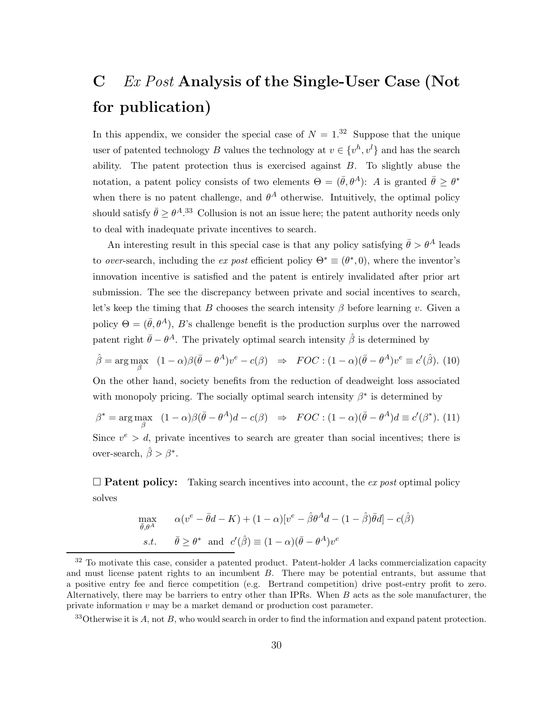# <span id="page-29-0"></span>C Ex Post Analysis of the Single-User Case (Not for publication)

In this appendix, we consider the special case of  $N = 1.32$  Suppose that the unique user of patented technology B values the technology at  $v \in \{v^h, v^l\}$  and has the search ability. The patent protection thus is exercised against  $B$ . To slightly abuse the notation, a patent policy consists of two elements  $\Theta = (\bar{\theta}, \theta^A)$ : A is granted  $\bar{\theta} \ge \theta^*$ when there is no patent challenge, and  $\theta^A$  otherwise. Intuitively, the optimal policy should satisfy  $\bar{\theta} \geq \theta^{A}$ .<sup>33</sup> Collusion is not an issue here; the patent authority needs only to deal with inadequate private incentives to search.

An interesting result in this special case is that any policy satisfying  $\bar{\theta} > \theta^A$  leads to *over*-search, including the ex post efficient policy  $\Theta^* \equiv (\theta^*, 0)$ , where the inventor's innovation incentive is satisfied and the patent is entirely invalidated after prior art submission. The see the discrepancy between private and social incentives to search, let's keep the timing that B chooses the search intensity  $\beta$  before learning v. Given a policy  $\Theta = (\bar{\theta}, \theta^A)$ , B's challenge benefit is the production surplus over the narrowed patent right  $\bar{\theta} - \theta^A$ . The privately optimal search intensity  $\hat{\beta}$  is determined by

$$
\hat{\beta} = \arg \max_{\beta} \quad (1 - \alpha)\beta(\bar{\theta} - \theta^A)v^e - c(\beta) \quad \Rightarrow \quad FOC : (1 - \alpha)(\bar{\theta} - \theta^A)v^e \equiv c'(\hat{\beta}). \tag{10}
$$

On the other hand, society benefits from the reduction of deadweight loss associated with monopoly pricing. The socially optimal search intensity  $\beta^*$  is determined by

 $\beta^* = \arg \max_{\beta} \quad (1 - \alpha)\beta(\bar{\theta} - \theta^A)d - c(\beta) \Rightarrow FOC : (1 - \alpha)(\bar{\theta} - \theta^A)d \equiv c'(\beta^*).$  (11) Since  $v^e > d$ , private incentives to search are greater than social incentives; there is over-search,  $\hat{\beta} > \beta^*$ .

 $\square$  **Patent policy:** Taking search incentives into account, the ex post optimal policy solves

$$
\max_{\bar{\theta}, \theta^A} \qquad \alpha(v^e - \bar{\theta}d - K) + (1 - \alpha)[v^e - \hat{\beta}\theta^A d - (1 - \hat{\beta})\bar{\theta}d] - c(\hat{\beta})
$$
\n
$$
s.t. \qquad \bar{\theta} \ge \theta^* \quad \text{and} \quad c'(\hat{\beta}) \equiv (1 - \alpha)(\bar{\theta} - \theta^A)v^e
$$

 $33$ Otherwise it is A, not B, who would search in order to find the information and expand patent protection.

 $32$  To motivate this case, consider a patented product. Patent-holder A lacks commercialization capacity and must license patent rights to an incumbent  $B$ . There may be potential entrants, but assume that a positive entry fee and fierce competition (e.g. Bertrand competition) drive post-entry profit to zero. Alternatively, there may be barriers to entry other than IPRs. When  $B$  acts as the sole manufacturer, the private information  $v$  may be a market demand or production cost parameter.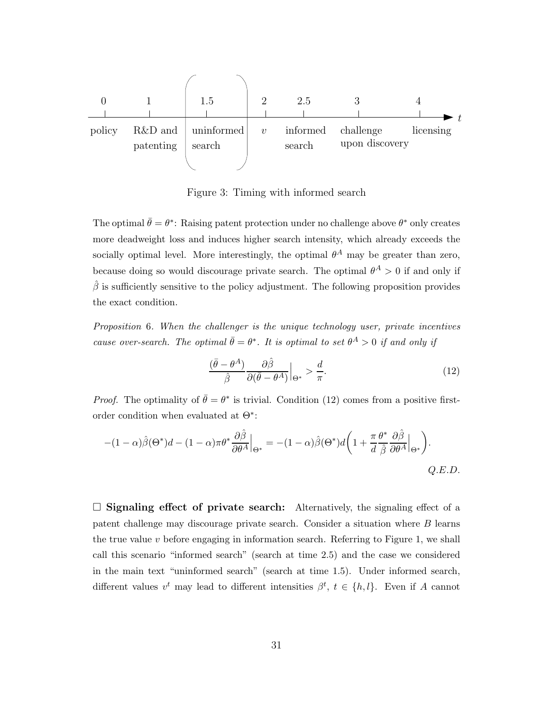

Figure 3: Timing with informed search

The optimal  $\bar{\theta} = \theta^*$ : Raising patent protection under no challenge above  $\theta^*$  only creates more deadweight loss and induces higher search intensity, which already exceeds the socially optimal level. More interestingly, the optimal  $\theta^A$  may be greater than zero, because doing so would discourage private search. The optimal  $\theta^A > 0$  if and only if  $\hat{\beta}$  is sufficiently sensitive to the policy adjustment. The following proposition provides the exact condition.

Proposition 6. When the challenger is the unique technology user, private incentives cause over-search. The optimal  $\bar{\theta} = \theta^*$ . It is optimal to set  $\theta^A > 0$  if and only if

<span id="page-30-0"></span>
$$
\frac{(\bar{\theta} - \theta^A)}{\hat{\beta}} \frac{\partial \hat{\beta}}{\partial(\bar{\theta} - \theta^A)}\Big|_{\Theta^*} > \frac{d}{\pi}.\tag{12}
$$

*Proof.* The optimality of  $\bar{\theta} = \theta^*$  is trivial. Condition [\(12\)](#page-30-0) comes from a positive firstorder condition when evaluated at Θ<sup>\*</sup>:

$$
-(1-\alpha)\hat{\beta}(\Theta^*)d - (1-\alpha)\pi\theta^* \frac{\partial \hat{\beta}}{\partial \theta^A}\Big|_{\Theta^*} = -(1-\alpha)\hat{\beta}(\Theta^*)d\bigg(1 + \frac{\pi}{d}\frac{\theta^*}{\hat{\beta}}\frac{\partial \hat{\beta}}{\partial \theta^A}\Big|_{\Theta^*}\bigg).
$$
  
Q.E.D.

 $\square$  Signaling effect of private search: Alternatively, the signaling effect of a patent challenge may discourage private search. Consider a situation where  $B$  learns the true value  $v$  before engaging in information search. Referring to Figure [1,](#page-8-0) we shall call this scenario "informed search" (search at time 2.5) and the case we considered in the main text "uninformed search" (search at time 1.5). Under informed search, different values  $v^t$  may lead to different intensities  $\beta^t$ ,  $t \in \{h, l\}$ . Even if A cannot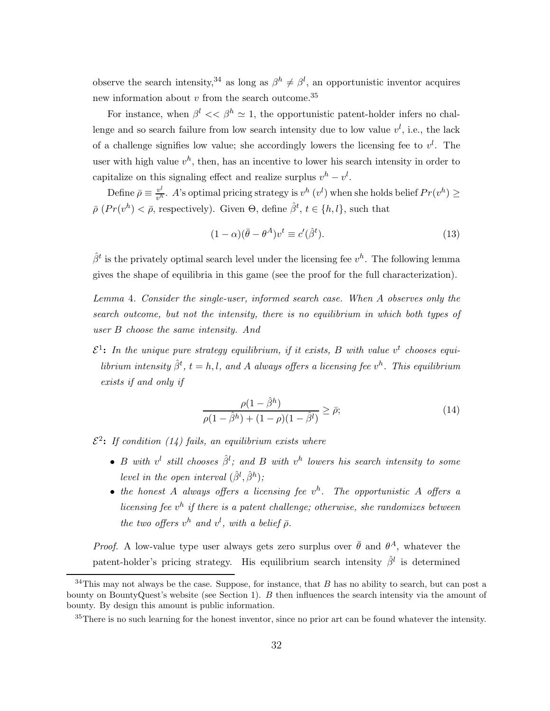observe the search intensity,<sup>34</sup> as long as  $\beta^h \neq \beta^l$ , an opportunistic inventor acquires new information about  $v$  from the search outcome.<sup>35</sup>

For instance, when  $\beta^l \ll \beta^h \simeq 1$ , the opportunistic patent-holder infers no challenge and so search failure from low search intensity due to low value  $v^l$ , i.e., the lack of a challenge signifies low value; she accordingly lowers the licensing fee to  $v^l$ . The user with high value  $v^h$ , then, has an incentive to lower his search intensity in order to capitalize on this signaling effect and realize surplus  $v^h - v^l$ .

Define  $\bar{\rho} \equiv \frac{v^l}{v^h}$  $\frac{v^l}{v^h}$ . A's optimal pricing strategy is  $v^h(v^l)$  when she holds belief  $Pr(v^h) \ge$  $\bar{\rho}$  ( $Pr(v^h) < \bar{\rho}$ , respectively). Given  $\Theta$ , define  $\hat{\beta}^t$ ,  $t \in \{h, l\}$ , such that

<span id="page-31-1"></span>
$$
(1 - \alpha)(\bar{\theta} - \theta^A)v^t \equiv c'(\hat{\beta}^t). \tag{13}
$$

 $\hat{\beta}^t$  is the privately optimal search level under the licensing fee  $v^h$ . The following lemma gives the shape of equilibria in this game (see the proof for the full characterization).

Lemma 4. Consider the single-user, informed search case. When  $A$  observes only the search outcome, but not the intensity, there is no equilibrium in which both types of user  $B$  choose the same intensity. And

 $\mathcal{E}^1$ : In the unique pure strategy equilibrium, if it exists, B with value  $v^t$  chooses equilibrium intensity  $\hat{\beta}^t$ ,  $t = h, l$ , and A always offers a licensing fee  $v^h$ . This equilibrium exists if and only if

<span id="page-31-0"></span>
$$
\frac{\rho(1-\hat{\beta}^h)}{\rho(1-\hat{\beta}^h) + (1-\rho)(1-\hat{\beta}^l)} \ge \bar{\rho};\tag{14}
$$

 $\mathcal{E}^2$ : If condition [\(14\)](#page-31-0) fails, an equilibrium exists where

- B with  $v^l$  still chooses  $\hat{\beta}^l$ ; and B with  $v^h$  lowers his search intensity to some level in the open interval  $(\hat{\beta}^l, \hat{\beta}^h)$ ;
- the honest A always offers a licensing fee  $v^h$ . The opportunistic A offers a licensing fee  $v^h$  if there is a patent challenge; otherwise, she randomizes between the two offers  $v^h$  and  $v^l$ , with a belief  $\bar{\rho}$ .

*Proof.* A low-value type user always gets zero surplus over  $\bar{\theta}$  and  $\theta^A$ , whatever the patent-holder's pricing strategy. His equilibrium search intensity  $\hat{\beta}^l$  is determined

 $34$ This may not always be the case. Suppose, for instance, that B has no ability to search, but can post a bounty on BountyQuest's website (see Section [1\)](#page-0-0).  $B$  then influences the search intensity via the amount of bounty. By design this amount is public information.

<sup>&</sup>lt;sup>35</sup>There is no such learning for the honest inventor, since no prior art can be found whatever the intensity.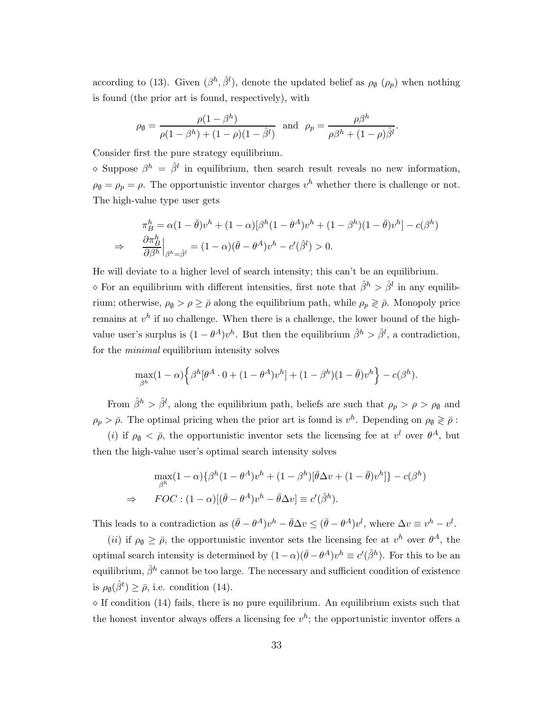according to [\(13\)](#page-31-1). Given  $(\beta^h, \hat{\beta}^l)$ , denote the updated belief as  $\rho_{\emptyset}$  ( $\rho_p$ ) when nothing is found (the prior art is found, respectively), with

$$
\rho_{\emptyset} = \frac{\rho(1-\beta^h)}{\rho(1-\beta^h) + (1-\rho)(1-\hat{\beta}^l)}
$$
 and  $\rho_p = \frac{\rho\beta^h}{\rho\beta^h + (1-\rho)\hat{\beta}^l}$ .

Consider first the pure strategy equilibrium.

 $\Diamond$  Suppose  $\beta^h = \hat{\beta}^l$  in equilibrium, then search result reveals no new information,  $\rho_{\emptyset} = \rho_{\rho} = \rho$ . The opportunistic inventor charges  $v^h$  whether there is challenge or not. The high-value type user gets

$$
\pi_B^h = \alpha (1 - \bar{\theta}) v^h + (1 - \alpha) [\beta^h (1 - \theta^A) v^h + (1 - \beta^h)(1 - \bar{\theta}) v^h] - c(\beta^h)
$$
  
\n
$$
\Rightarrow \frac{\partial \pi_B^h}{\partial \beta^h} \Big|_{\beta^h = \hat{\beta}^l} = (1 - \alpha) (\bar{\theta} - \theta^A) v^h - c'(\hat{\beta}^l) > 0.
$$

He will deviate to a higher level of search intensity; this can't be an equilibrium.

 $\Diamond$  For an equilibrium with different intensities, first note that  $\hat{\beta}^h > \hat{\beta}^l$  in any equilibrium; otherwise,  $\rho_{\emptyset} > \rho \geq \bar{\rho}$  along the equilibrium path, while  $\rho_p \geq \bar{\rho}$ . Monopoly price remains at  $v^h$  if no challenge. When there is a challenge, the lower bound of the highvalue user's surplus is  $(1 - \theta^A)v^h$ . But then the equilibrium  $\hat{\beta}^h > \hat{\beta}^l$ , a contradiction, for the minimal equilibrium intensity solves

$$
\max_{\beta^h} (1-\alpha) \left\{ \beta^h [\theta^A \cdot 0 + (1-\theta^A)v^h] + (1-\beta^h)(1-\bar{\theta})v^h \right\} - c(\beta^h).
$$

From  $\hat{\beta}^h > \hat{\beta}^l$ , along the equilibrium path, beliefs are such that  $\rho_p > \rho > \rho_\emptyset$  and  $\rho_p > \bar{\rho}$ . The optimal pricing when the prior art is found is  $v^h$ . Depending on  $\rho_\emptyset \geqslant \bar{\rho}$ :

(*i*) if  $\rho_{\emptyset} < \bar{\rho}$ , the opportunistic inventor sets the licensing fee at  $v^{l}$  over  $\theta^{A}$ , but then the high-value user's optimal search intensity solves

$$
\max_{\beta^h} (1 - \alpha) \{ \beta^h (1 - \theta^A) v^h + (1 - \beta^h) [\bar{\theta} \Delta v + (1 - \bar{\theta}) v^h] \} - c(\beta^h)
$$
  
\n
$$
\Rightarrow \quad FOC : (1 - \alpha) [(\bar{\theta} - \theta^A) v^h - \bar{\theta} \Delta v] \equiv c'(\hat{\beta}^h).
$$

This leads to a contradiction as  $(\bar{\theta} - \theta^A)v^h - \bar{\theta}\Delta v \leq (\bar{\theta} - \theta^A)v^l$ , where  $\Delta v \equiv v^h - v^l$ .

(*ii*) if  $\rho_{\emptyset} \geq \bar{\rho}$ , the opportunistic inventor sets the licensing fee at  $v^h$  over  $\theta^A$ , the optimal search intensity is determined by  $(1-\alpha)(\bar{\theta}-\theta^A)v^h \equiv c'(\hat{\beta}^h)$ . For this to be an equilibrium,  $\hat{\beta}^h$  cannot be too large. The necessary and sufficient condition of existence is  $\rho_{\emptyset}(\hat{\beta}^t) \geq \bar{\rho}$ , i.e. condition [\(14\)](#page-31-0).

 $\diamond$  If condition [\(14\)](#page-31-0) fails, there is no pure equilibrium. An equilibrium exists such that the honest inventor always offers a licensing fee  $v^h$ ; the opportunistic inventor offers a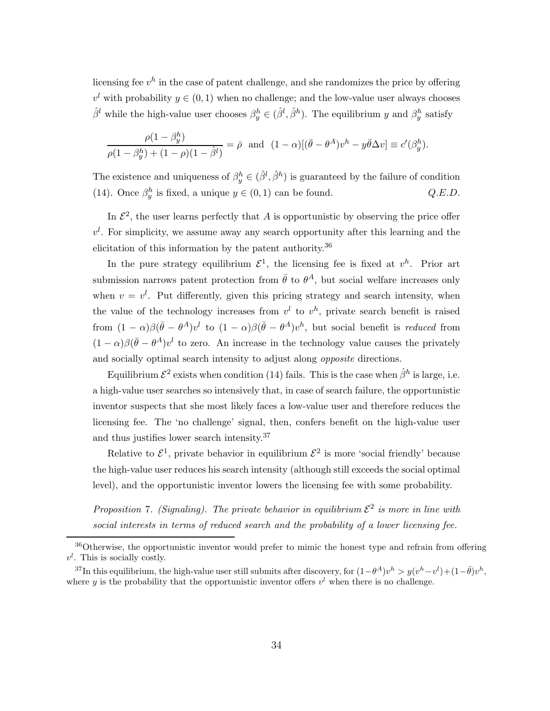licensing fee  $v^h$  in the case of patent challenge, and she randomizes the price by offering  $v<sup>l</sup>$  with probability  $y \in (0, 1)$  when no challenge; and the low-value user always chooses  $\hat{\beta}^l$  while the high-value user chooses  $\beta_y^h \in (\hat{\beta}^l, \hat{\beta}^h)$ . The equilibrium y and  $\beta_y^h$  satisfy

$$
\frac{\rho(1-\beta_y^h)}{\rho(1-\beta_y^h) + (1-\rho)(1-\hat{\beta}^l)} = \bar{\rho} \text{ and } (1-\alpha)[(\bar{\theta}-\theta^A)v^h - y\bar{\theta}\Delta v] \equiv c'(\beta_y^h).
$$

The existence and uniqueness of  $\beta_y^h \in (\hat{\beta}^l, \hat{\beta}^h)$  is guaranteed by the failure of condition [\(14\)](#page-31-0). Once  $\beta_y^h$  is fixed, a unique  $y \in (0, 1)$  can be found.  $Q.E.D.$ 

In  $\mathcal{E}^2$ , the user learns perfectly that A is opportunistic by observing the price offer  $v^l$ . For simplicity, we assume away any search opportunity after this learning and the elicitation of this information by the patent authority.<sup>36</sup>

In the pure strategy equilibrium  $\mathcal{E}^1$ , the licensing fee is fixed at  $v^h$ . Prior art submission narrows patent protection from  $\bar{\theta}$  to  $\theta^A$ , but social welfare increases only when  $v = v<sup>l</sup>$ . Put differently, given this pricing strategy and search intensity, when the value of the technology increases from  $v^l$  to  $v^h$ , private search benefit is raised from  $(1 - \alpha)\beta(\bar{\theta} - \theta^A)v^l$  to  $(1 - \alpha)\beta(\bar{\theta} - \theta^A)v^h$ , but social benefit is reduced from  $(1 - \alpha)\beta(\bar{\theta} - \theta^A)v^l$  to zero. An increase in the technology value causes the privately and socially optimal search intensity to adjust along opposite directions.

Equilibrium  $\mathcal{E}^2$  exists when condition [\(14\)](#page-31-0) fails. This is the case when  $\hat{\beta}^h$  is large, i.e. a high-value user searches so intensively that, in case of search failure, the opportunistic inventor suspects that she most likely faces a low-value user and therefore reduces the licensing fee. The 'no challenge' signal, then, confers benefit on the high-value user and thus justifies lower search intensity.<sup>37</sup>

Relative to  $\mathcal{E}^1$ , private behavior in equilibrium  $\mathcal{E}^2$  is more 'social friendly' because the high-value user reduces his search intensity (although still exceeds the social optimal level), and the opportunistic inventor lowers the licensing fee with some probability.

<span id="page-33-0"></span>Proposition 7. (Signaling). The private behavior in equilibrium  $\mathcal{E}^2$  is more in line with social interests in terms of reduced search and the probability of a lower licensing fee.

<sup>&</sup>lt;sup>36</sup>Otherwise, the opportunistic inventor would prefer to mimic the honest type and refrain from offering  $v^l$ . This is socially costly.

<sup>&</sup>lt;sup>37</sup>In this equilibrium, the high-value user still submits after discovery, for  $(1-\theta^A)v^h > y(v^h - v^l) + (1-\bar{\theta})v^h$ , where y is the probability that the opportunistic inventor offers  $v<sup>l</sup>$  when there is no challenge.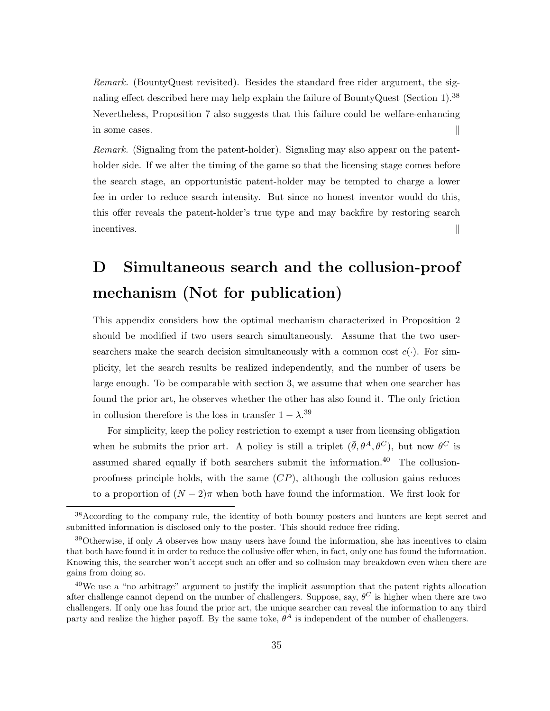Remark. (BountyQuest revisited). Besides the standard free rider argument, the signaling effect described here may help explain the failure of BountyQuest (Section [1\)](#page-0-0).<sup>38</sup> Nevertheless, Proposition [7](#page-33-0) also suggests that this failure could be welfare-enhancing in some cases. ∥

Remark. (Signaling from the patent-holder). Signaling may also appear on the patentholder side. If we alter the timing of the game so that the licensing stage comes before the search stage, an opportunistic patent-holder may be tempted to charge a lower fee in order to reduce search intensity. But since no honest inventor would do this, this offer reveals the patent-holder's true type and may backfire by restoring search incentives. ∥

## <span id="page-34-0"></span>D Simultaneous search and the collusion-proof mechanism (Not for publication)

This appendix considers how the optimal mechanism characterized in Proposition [2](#page-13-1) should be modified if two users search simultaneously. Assume that the two usersearchers make the search decision simultaneously with a common cost  $c(\cdot)$ . For simplicity, let the search results be realized independently, and the number of users be large enough. To be comparable with section [3,](#page-9-0) we assume that when one searcher has found the prior art, he observes whether the other has also found it. The only friction in collusion therefore is the loss in transfer  $1 - \lambda$ <sup>39</sup>

For simplicity, keep the policy restriction to exempt a user from licensing obligation when he submits the prior art. A policy is still a triplet  $(\bar{\theta}, \theta^A, \theta^C)$ , but now  $\theta^C$  is assumed shared equally if both searchers submit the information.<sup>40</sup> The collusionproofness principle holds, with the same  $(CP)$ , although the collusion gains reduces to a proportion of  $(N-2)\pi$  when both have found the information. We first look for

<sup>&</sup>lt;sup>38</sup>According to the company rule, the identity of both bounty posters and hunters are kept secret and submitted information is disclosed only to the poster. This should reduce free riding.

 $39$ Otherwise, if only A observes how many users have found the information, she has incentives to claim that both have found it in order to reduce the collusive offer when, in fact, only one has found the information. Knowing this, the searcher won't accept such an offer and so collusion may breakdown even when there are gains from doing so.

<sup>40</sup>We use a "no arbitrage" argument to justify the implicit assumption that the patent rights allocation after challenge cannot depend on the number of challengers. Suppose, say,  $\theta^C$  is higher when there are two challengers. If only one has found the prior art, the unique searcher can reveal the information to any third party and realize the higher payoff. By the same toke,  $\theta^A$  is independent of the number of challengers.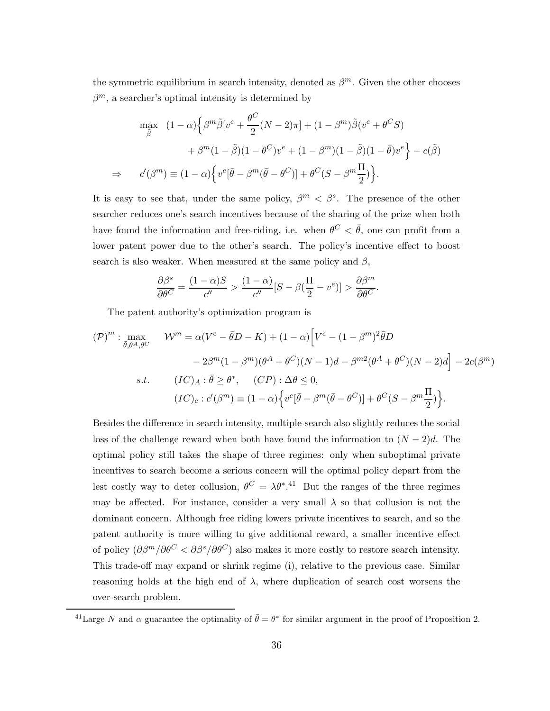the symmetric equilibrium in search intensity, denoted as  $\beta^m$ . Given the other chooses  $\beta^m$ , a searcher's optimal intensity is determined by

$$
\max_{\tilde{\beta}} \quad (1 - \alpha) \Big\{ \beta^m \tilde{\beta} [v^e + \frac{\theta^C}{2} (N - 2)\pi] + (1 - \beta^m) \tilde{\beta} (v^e + \theta^C S) \n+ \beta^m (1 - \tilde{\beta}) (1 - \theta^C) v^e + (1 - \beta^m) (1 - \tilde{\beta}) (1 - \bar{\theta}) v^e \Big\} - c(\tilde{\beta}) \n\Rightarrow c'(\beta^m) \equiv (1 - \alpha) \Big\{ v^e [\bar{\theta} - \beta^m (\bar{\theta} - \theta^C)] + \theta^C (S - \beta^m \frac{\Pi}{2}) \Big\}.
$$

It is easy to see that, under the same policy,  $\beta^{m} < \beta^{s}$ . The presence of the other searcher reduces one's search incentives because of the sharing of the prize when both have found the information and free-riding, i.e. when  $\theta^C < \bar{\theta}$ , one can profit from a lower patent power due to the other's search. The policy's incentive effect to boost search is also weaker. When measured at the same policy and  $\beta$ ,

$$
\frac{\partial \beta^s}{\partial \theta^C} = \frac{(1-\alpha)S}{c''} > \frac{(1-\alpha)}{c''} [S - \beta(\frac{\Pi}{2} - v^e)] > \frac{\partial \beta^m}{\partial \theta^C}.
$$

The patent authority's optimization program is

$$
(\mathcal{P})^m : \max_{\bar{\theta}, \theta^A, \theta^C} \qquad \mathcal{W}^m = \alpha (V^e - \bar{\theta}D - K) + (1 - \alpha) \Big[ V^e - (1 - \beta^m)^2 \bar{\theta}D
$$

$$
- 2\beta^m (1 - \beta^m)(\theta^A + \theta^C)(N - 1)d - \beta^{m2}(\theta^A + \theta^C)(N - 2)d \Big] - 2c(\beta^m)
$$
  
s.t. 
$$
(IC)_A : \bar{\theta} \ge \theta^*, \quad (CP) : \Delta\theta \le 0,
$$

$$
(IC)_c : c'(\beta^m) \equiv (1 - \alpha) \Big\{ v^e[\bar{\theta} - \beta^m(\bar{\theta} - \theta^C)] + \theta^C(S - \beta^m \frac{\Pi}{2}) \Big\}.
$$

Besides the difference in search intensity, multiple-search also slightly reduces the social loss of the challenge reward when both have found the information to  $(N-2)d$ . The optimal policy still takes the shape of three regimes: only when suboptimal private incentives to search become a serious concern will the optimal policy depart from the lest costly way to deter collusion,  $\theta^C = \lambda \theta^*$ .<sup>41</sup> But the ranges of the three regimes may be affected. For instance, consider a very small  $\lambda$  so that collusion is not the dominant concern. Although free riding lowers private incentives to search, and so the patent authority is more willing to give additional reward, a smaller incentive effect of policy  $(\partial \beta^m / \partial \theta^C < \partial \beta^s / \partial \theta^C)$  also makes it more costly to restore search intensity. This trade-off may expand or shrink regime (i), relative to the previous case. Similar reasoning holds at the high end of  $\lambda$ , where duplication of search cost worsens the over-search problem.

<sup>&</sup>lt;sup>41</sup>Large N and  $\alpha$  guarantee the optimality of  $\bar{\theta} = \theta^*$  for similar argument in the proof of Proposition [2.](#page-13-1)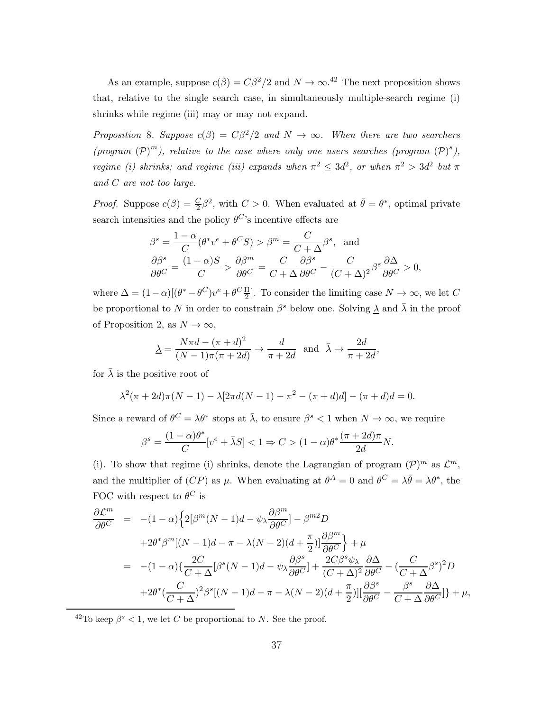As an example, suppose  $c(\beta) = C\beta^2/2$  and  $N \to \infty$ .<sup>42</sup> The next proposition shows that, relative to the single search case, in simultaneously multiple-search regime (i) shrinks while regime (iii) may or may not expand.

Proposition 8. Suppose  $c(\beta) = C\beta^2/2$  and  $N \to \infty$ . When there are two searchers (program  $(\mathcal{P})^m$ ), relative to the case where only one users searches (program  $(\mathcal{P})^s$ ), regime (i) shrinks; and regime (iii) expands when  $\pi^2 \leq 3d^2$ , or when  $\pi^2 > 3d^2$  but  $\pi$ and  $C$  are not too large.

*Proof.* Suppose  $c(\beta) = \frac{C}{2}\beta^2$ , with  $C > 0$ . When evaluated at  $\bar{\theta} = \theta^*$ , optimal private search intensities and the policy  $\theta^{C}$ 's incentive effects are

$$
\beta^s = \frac{1 - \alpha}{C} (\theta^* v^e + \theta^C S) > \beta^m = \frac{C}{C + \Delta} \beta^s, \text{ and}
$$

$$
\frac{\partial \beta^s}{\partial \theta^C} = \frac{(1 - \alpha)S}{C} > \frac{\partial \beta^m}{\partial \theta^C} = \frac{C}{C + \Delta} \frac{\partial \beta^s}{\partial \theta^C} - \frac{C}{(C + \Delta)^2} \beta^s \frac{\partial \Delta}{\partial \theta^C} > 0,
$$

where  $\Delta = (1 - \alpha)[(\theta^* - \theta^C)v^e + \theta^C \frac{\Pi}{2}]$  $\frac{11}{2}$ . To consider the limiting case  $N \to \infty$ , we let C be proportional to N in order to constrain  $\beta^s$  below one. Solving  $\underline{\lambda}$  and  $\overline{\lambda}$  in the proof of Proposition [2,](#page-13-1) as  $N \to \infty$ ,

$$
\underline{\lambda} = \frac{N\pi d - (\pi + d)^2}{(N - 1)\pi(\pi + 2d)} \to \frac{d}{\pi + 2d} \text{ and } \overline{\lambda} \to \frac{2d}{\pi + 2d},
$$

for  $\bar{\lambda}$  is the positive root of

$$
\lambda^{2}(\pi + 2d)\pi(N - 1) - \lambda[2\pi d(N - 1) - \pi^{2} - (\pi + d)d] - (\pi + d)d = 0.
$$

Since a reward of  $\theta^C = \lambda \theta^*$  stops at  $\bar{\lambda}$ , to ensure  $\beta^s < 1$  when  $N \to \infty$ , we require

$$
\beta^s = \frac{(1-\alpha)\theta^*}{C}[v^e + \bar{\lambda}S] < 1 \Rightarrow C > (1-\alpha)\theta^* \frac{(\pi+2d)\pi}{2d}N.
$$

(i). To show that regime (i) shrinks, denote the Lagrangian of program  $(\mathcal{P})^m$  as  $\mathcal{L}^m$ , and the multiplier of  $(CP)$  as  $\mu$ . When evaluating at  $\theta^A = 0$  and  $\theta^C = \lambda \bar{\theta} = \lambda \theta^*$ , the FOC with respect to  $\theta^C$  is

$$
\frac{\partial \mathcal{L}^m}{\partial \theta^C} = -(1-\alpha) \Big\{ 2[\beta^m (N-1)d - \psi_\lambda \frac{\partial \beta^m}{\partial \theta^C}] - \beta^{m2} D \n+2\theta^* \beta^m [(N-1)d - \pi - \lambda(N-2)(d + \frac{\pi}{2})] \frac{\partial \beta^m}{\partial \theta^C} \Big\} + \mu \n= -(1-\alpha) \Big\{ \frac{2C}{C+\Delta} [\beta^s (N-1)d - \psi_\lambda \frac{\partial \beta^s}{\partial \theta^C}] + \frac{2C\beta^s \psi_\lambda}{(C+\Delta)^2} \frac{\partial \Delta}{\partial \theta^C} - \Big(\frac{C}{C+\Delta} \beta^s \Big)^2 D \n+2\theta^* \Big(\frac{C}{C+\Delta} \Big)^2 \beta^s [(N-1)d - \pi - \lambda(N-2)(d + \frac{\pi}{2})] [\frac{\partial \beta^s}{\partial \theta^C} - \frac{\beta^s}{C+\Delta} \frac{\partial \Delta}{\partial \theta^C}] \Big\} + \mu,
$$

<sup>42</sup>To keep  $\beta^s$  < 1, we let C be proportional to N. See the proof.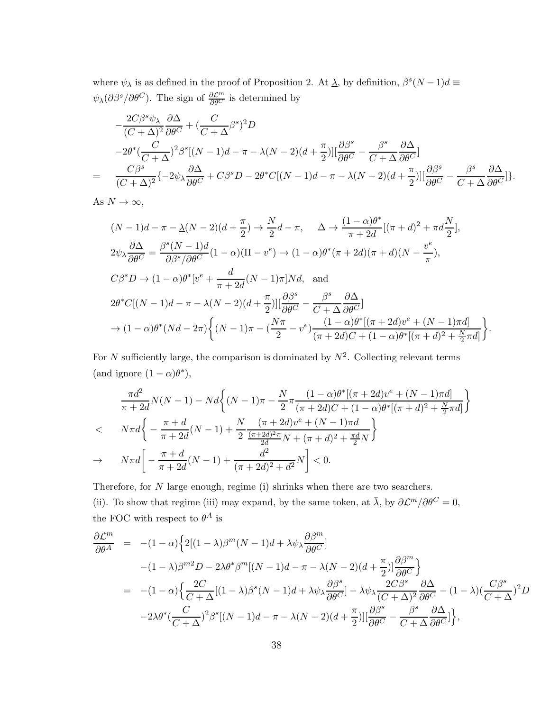where  $\psi_{\lambda}$  is as defined in the proof of Proposition [2.](#page-13-1) At  $\underline{\lambda}$ , by definition,  $\beta^{s}(N-1)d \equiv$  $\psi_{\lambda}(\partial \beta^{s}/\partial \theta^{C})$ . The sign of  $\frac{\partial \mathcal{L}^{m}}{\partial \theta^{C}}$  is determined by

$$
-\frac{2C\beta^{s}\psi_{\lambda}}{(C+\Delta)^{2}}\frac{\partial\Delta}{\partial\theta^{C}}+(\frac{C}{C+\Delta}\beta^{s})^{2}D
$$
  

$$
-2\theta^{*}\left(\frac{C}{C+\Delta}\right)^{2}\beta^{s}[(N-1)d-\pi-\lambda(N-2)(d+\frac{\pi}{2})][\frac{\partial\beta^{s}}{\partial\theta^{C}}-\frac{\beta^{s}}{C+\Delta}\frac{\partial\Delta}{\partial\theta^{C}}]
$$
  

$$
=\frac{C\beta^{s}}{(C+\Delta)^{2}}\{-2\psi_{\lambda}\frac{\partial\Delta}{\partial\theta^{C}}+C\beta^{s}D-2\theta^{*}C[(N-1)d-\pi-\lambda(N-2)(d+\frac{\pi}{2})][\frac{\partial\beta^{s}}{\partial\theta^{C}}-\frac{\beta^{s}}{C+\Delta}\frac{\partial\Delta}{\partial\theta^{C}}]\}.
$$

As  $N \to \infty$ ,

$$
(N-1)d - \pi - \underline{\lambda}(N-2)(d + \frac{\pi}{2}) \to \frac{N}{2}d - \pi, \quad \Delta \to \frac{(1-\alpha)\theta^*}{\pi + 2d}[(\pi+d)^2 + \pi d\frac{N}{2}],
$$
  
\n
$$
2\psi_{\lambda} \frac{\partial \Delta}{\partial \theta^C} = \frac{\beta^s (N-1)d}{\partial \beta^s/\partial \theta^C} (1-\alpha)(\Pi - v^e) \to (1-\alpha)\theta^*(\pi + 2d)(\pi + d)(N - \frac{v^e}{\pi}),
$$
  
\n
$$
C\beta^s D \to (1-\alpha)\theta^*[v^e + \frac{d}{\pi + 2d}(N-1)\pi]Nd, \text{ and}
$$
  
\n
$$
2\theta^* C[(N-1)d - \pi - \lambda(N-2)(d + \frac{\pi}{2})][\frac{\partial \beta^s}{\partial \theta^C} - \frac{\beta^s}{C + \Delta} \frac{\partial \Delta}{\partial \theta^C}]
$$
  
\n
$$
\to (1-\alpha)\theta^*(Nd - 2\pi)\left\{(N-1)\pi - (\frac{N\pi}{2} - v^e)\frac{(1-\alpha)\theta^*[(\pi + 2d)v^e + (N-1)\pi d]}{(\pi + 2d)C + (1-\alpha)\theta^*[(\pi + d)^2 + \frac{N}{2}\pi d]}\right\}.
$$

For N sufficiently large, the comparison is dominated by  $N^2$ . Collecting relevant terms (and ignore  $(1 - \alpha)\theta^*$ ),

$$
\frac{\pi d^2}{\pi + 2d} N(N - 1) - N d \left\{ (N - 1)\pi - \frac{N}{2} \pi \frac{(1 - \alpha)\theta^* [(\pi + 2d)v^e + (N - 1)\pi d]}{(\pi + 2d)C + (1 - \alpha)\theta^* [(\pi + d)^2 + \frac{N}{2}\pi d]} \right\}
$$
  

$$
< N \pi d \left\{ - \frac{\pi + d}{\pi + 2d} (N - 1) + \frac{N}{2} \frac{(\pi + 2d)v^e + (N - 1)\pi d}{\frac{2d}{2d}N + (\pi + d)^2 + \frac{\pi d}{2}N} \right\}
$$
  

$$
\to N \pi d \left[ - \frac{\pi + d}{\pi + 2d} (N - 1) + \frac{d^2}{(\pi + 2d)^2 + d^2} N \right] < 0.
$$

Therefore, for  $N$  large enough, regime (i) shrinks when there are two searchers. (ii). To show that regime (iii) may expand, by the same token, at  $\bar{\lambda}$ , by  $\partial \mathcal{L}^m/\partial \theta^C = 0$ , the FOC with respect to  $\theta^A$  is

$$
\frac{\partial \mathcal{L}^m}{\partial \theta^A} = -(1-\alpha) \Big\{ 2[(1-\lambda)\beta^m (N-1)d + \lambda \psi_\lambda \frac{\partial \beta^m}{\partial \theta^C}] \n- (1-\lambda)\beta^{m2} D - 2\lambda \theta^* \beta^m [(N-1)d - \pi - \lambda(N-2)(d + \frac{\pi}{2})] \frac{\partial \beta^m}{\partial \theta^C} \Big\} \n= -(1-\alpha) \Big\{ \frac{2C}{C+\Delta} [(1-\lambda)\beta^s (N-1)d + \lambda \psi_\lambda \frac{\partial \beta^s}{\partial \theta^C}] - \lambda \psi_\lambda \frac{2C\beta^s}{(C+\Delta)^2} \frac{\partial \Delta}{\partial \theta^C} - (1-\lambda) (\frac{C\beta^s}{C+\Delta})^2 D \n-2\lambda \theta^* (\frac{C}{C+\Delta})^2 \beta^s [(N-1)d - \pi - \lambda(N-2)(d + \frac{\pi}{2})] [\frac{\partial \beta^s}{\partial \theta^C} - \frac{\beta^s}{C+\Delta} \frac{\partial \Delta}{\partial \theta^C}] \Big\},
$$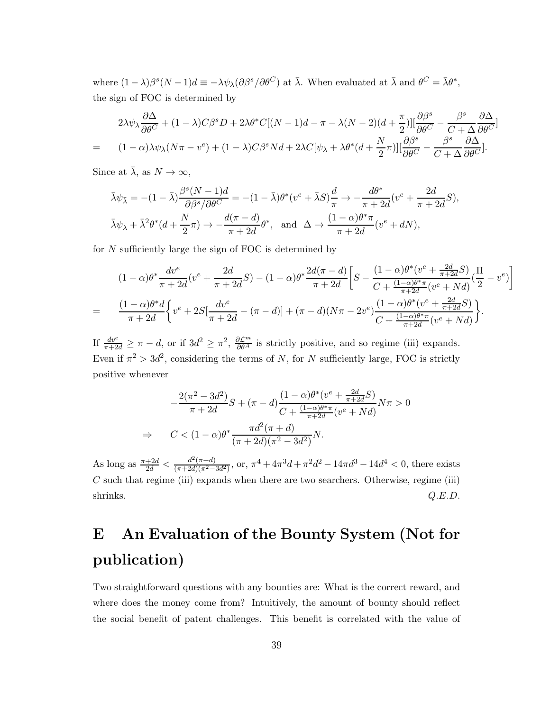where  $(1 - \lambda)\beta^{s}(N - 1)d \equiv -\lambda\psi_{\lambda}(\partial\beta^{s}/\partial\theta^{C})$  at  $\bar{\lambda}$ . When evaluated at  $\bar{\lambda}$  and  $\theta^{C} = \bar{\lambda}\theta^{*}$ , the sign of FOC is determined by

$$
2\lambda\psi_{\lambda}\frac{\partial\Delta}{\partial\theta^{C}} + (1-\lambda)C\beta^{s}D + 2\lambda\theta^{*}C[(N-1)d - \pi - \lambda(N-2)(d+\frac{\pi}{2})][\frac{\partial\beta^{s}}{\partial\theta^{C}} - \frac{\beta^{s}}{C+\Delta}\frac{\partial\Delta}{\partial\theta^{C}}]
$$
  
= 
$$
(1-\alpha)\lambda\psi_{\lambda}(N\pi - v^{e}) + (1-\lambda)C\beta^{s}Nd + 2\lambda C[\psi_{\lambda} + \lambda\theta^{*}(d+\frac{N}{2}\pi)][\frac{\partial\beta^{s}}{\partial\theta^{C}} - \frac{\beta^{s}}{C+\Delta}\frac{\partial\Delta}{\partial\theta^{C}}].
$$

Since at  $\bar{\lambda}$ , as  $N \to \infty$ ,

$$
\bar{\lambda}\psi_{\bar{\lambda}} = -(1-\bar{\lambda})\frac{\beta^s(N-1)d}{\partial\beta^s/\partial\theta^C} = -(1-\bar{\lambda})\theta^*(v^e + \bar{\lambda}S)\frac{d}{\pi} \to -\frac{d\theta^*}{\pi+2d}(v^e + \frac{2d}{\pi+2d}S),
$$
  

$$
\bar{\lambda}\psi_{\bar{\lambda}} + \bar{\lambda}^2\theta^*(d + \frac{N}{2}\pi) \to -\frac{d(\pi-d)}{\pi+2d}\theta^*, \text{ and } \Delta \to \frac{(1-\alpha)\theta^*\pi}{\pi+2d}(v^e + dN),
$$

for  $N$  sufficiently large the sign of FOC is determined by

$$
(1 - \alpha)\theta^* \frac{dv^e}{\pi + 2d} (v^e + \frac{2d}{\pi + 2d}S) - (1 - \alpha)\theta^* \frac{2d(\pi - d)}{\pi + 2d} \left[ S - \frac{(1 - \alpha)\theta^*(v^e + \frac{2d}{\pi + 2d}S)}{C + \frac{(1 - \alpha)\theta^* \pi}{\pi + 2d} (v^e + Nd)} (\frac{\Pi}{2} - v^e) \right]
$$
  
= 
$$
\frac{(1 - \alpha)\theta^* d}{\pi + 2d} \left\{ v^e + 2S[\frac{dv^e}{\pi + 2d} - (\pi - d)] + (\pi - d)(N\pi - 2v^e) \frac{(1 - \alpha)\theta^*(v^e + \frac{2d}{\pi + 2d}S)}{C + \frac{(1 - \alpha)\theta^* \pi}{\pi + 2d} (v^e + Nd)} \right\}.
$$

If  $\frac{dv^e}{\pi+2d} \geq \pi - d$ , or if  $3d^2 \geq \pi^2$ ,  $\frac{\partial \mathcal{L}^m}{\partial \theta^A}$  is strictly positive, and so regime (iii) expands. Even if  $\pi^2 > 3d^2$ , considering the terms of N, for N sufficiently large, FOC is strictly positive whenever

$$
-\frac{2(\pi^2 - 3d^2)}{\pi + 2d}S + (\pi - d)\frac{(1 - \alpha)\theta^*(v^e + \frac{2d}{\pi + 2d}S)}{C + \frac{(1 - \alpha)\theta^*\pi}{\pi + 2d}(v^e + Nd)}N\pi > 0
$$
  
\n
$$
\Rightarrow C < (1 - \alpha)\theta^*\frac{\pi d^2(\pi + d)}{(\pi + 2d)(\pi^2 - 3d^2)}N.
$$

As long as  $\frac{\pi+2d}{2d} < \frac{d^2(\pi+d)}{(\pi+2d)(\pi^2-3d^2)}$ , or,  $\pi^4+4\pi^3d+\pi^2d^2-14\pi d^3-14d^4 < 0$ , there exists  $C$  such that regime (iii) expands when there are two searchers. Otherwise, regime (iii) shrinks.  $Q.E.D.$ 

# <span id="page-38-0"></span>E An Evaluation of the Bounty System (Not for publication)

Two straightforward questions with any bounties are: What is the correct reward, and where does the money come from? Intuitively, the amount of bounty should reflect the social benefit of patent challenges. This benefit is correlated with the value of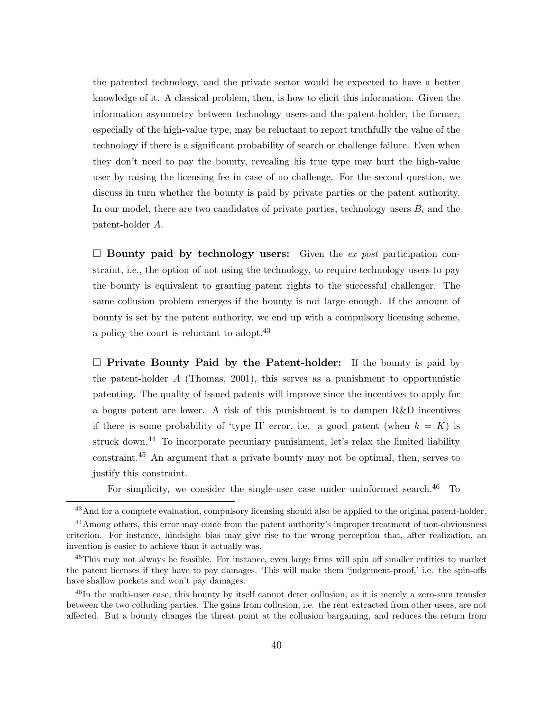the patented technology, and the private sector would be expected to have a better knowledge of it. A classical problem, then, is how to elicit this information. Given the information asymmetry between technology users and the patent-holder, the former, especially of the high-value type, may be reluctant to report truthfully the value of the technology if there is a significant probability of search or challenge failure. Even when they don't need to pay the bounty, revealing his true type may hurt the high-value user by raising the licensing fee in case of no challenge. For the second question, we discuss in turn whether the bounty is paid by private parties or the patent authority. In our model, there are two candidates of private parties, technology users  $B_i$  and the patent-holder A.

 $\square$  Bounty paid by technology users: Given the ex post participation constraint, i.e., the option of not using the technology, to require technology users to pay the bounty is equivalent to granting patent rights to the successful challenger. The same collusion problem emerges if the bounty is not large enough. If the amount of bounty is set by the patent authority, we end up with a compulsory licensing scheme, a policy the court is reluctant to adopt.<sup>43</sup>

 $\Box$  Private Bounty Paid by the Patent-holder: If the bounty is paid by the patent-holder  $A$  [\(Thomas, 2001\)](#page-46-2), this serves as a punishment to opportunistic patenting. The quality of issued patents will improve since the incentives to apply for a bogus patent are lower. A risk of this punishment is to dampen R&D incentives if there is some probability of 'type II' error, i.e. a good patent (when  $k = K$ ) is struck down.<sup>44</sup> To incorporate pecuniary punishment, let's relax the limited liability constraint.<sup>45</sup> An argument that a private bounty may not be optimal, then, serves to justify this constraint.

For simplicity, we consider the single-user case under uninformed search. $46$  To

<sup>&</sup>lt;sup>43</sup>And for a complete evaluation, compulsory licensing should also be applied to the original patent-holder.

<sup>44</sup>Among others, this error may come from the patent authority's improper treatment of non-obviousness criterion. For instance, hindsight bias may give rise to the wrong perception that, after realization, an invention is easier to achieve than it actually was.

<sup>&</sup>lt;sup>45</sup>This may not always be feasible. For instance, even large firms will spin off smaller entities to market the patent licenses if they have to pay damages. This will make them 'judgement-proof,' i.e. the spin-offs have shallow pockets and won't pay damages.

<sup>46</sup>In the multi-user case, this bounty by itself cannot deter collusion, as it is merely a zero-sum transfer between the two colluding parties. The gains from collusion, i.e. the rent extracted from other users, are not affected. But a bounty changes the threat point at the collusion bargaining, and reduces the return from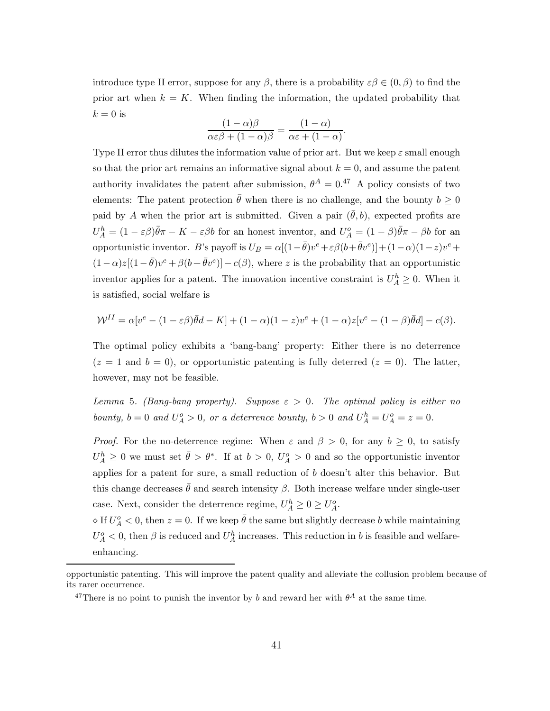introduce type II error, suppose for any  $\beta$ , there is a probability  $\varepsilon\beta \in (0,\beta)$  to find the prior art when  $k = K$ . When finding the information, the updated probability that  $k = 0$  is

$$
\frac{(1-\alpha)\beta}{\alpha \varepsilon \beta + (1-\alpha)\beta} = \frac{(1-\alpha)}{\alpha \varepsilon + (1-\alpha)}.
$$

Type II error thus dilutes the information value of prior art. But we keep  $\varepsilon$  small enough so that the prior art remains an informative signal about  $k = 0$ , and assume the patent authority invalidates the patent after submission,  $\theta^{A} = 0.47$  A policy consists of two elements: The patent protection  $\bar{\theta}$  when there is no challenge, and the bounty  $b \geq 0$ paid by A when the prior art is submitted. Given a pair  $(\theta, b)$ , expected profits are  $U_A^h = (1 - \varepsilon \beta) \bar{\theta} \pi - K - \varepsilon \beta b$  for an honest inventor, and  $U_A^o = (1 - \beta) \bar{\theta} \pi - \beta b$  for an opportunistic inventor. B's payoff is  $U_B = \alpha[(1-\bar{\theta})v^e + \varepsilon\beta(b+\bar{\theta}v^e)] + (1-\alpha)(1-z)v^e +$  $(1-\alpha)z[(1-\bar{\theta})v^e+\beta(b+\bar{\theta}v^e)]-c(\beta)$ , where z is the probability that an opportunistic inventor applies for a patent. The innovation incentive constraint is  $U_A^h \geq 0$ . When it is satisfied, social welfare is

$$
\mathcal{W}^{II} = \alpha[v^e - (1 - \varepsilon \beta)\overline{\theta}d - K] + (1 - \alpha)(1 - z)v^e + (1 - \alpha)z[v^e - (1 - \beta)\overline{\theta}d] - c(\beta).
$$

The optimal policy exhibits a 'bang-bang' property: Either there is no deterrence  $(z = 1$  and  $b = 0$ , or opportunistic patenting is fully deterred  $(z = 0)$ . The latter, however, may not be feasible.

<span id="page-40-0"></span>Lemma 5. (Bang-bang property). Suppose  $\varepsilon > 0$ . The optimal policy is either no bounty,  $b = 0$  and  $U_A^o > 0$ , or a deterrence bounty,  $b > 0$  and  $U_A^h = U_A^o = z = 0$ .

*Proof.* For the no-deterrence regime: When  $\varepsilon$  and  $\beta > 0$ , for any  $b \ge 0$ , to satisfy  $U_A^h \geq 0$  we must set  $\bar{\theta} > \theta^*$ . If at  $b > 0$ ,  $U_A^o > 0$  and so the opportunistic inventor applies for a patent for sure, a small reduction of  $b$  doesn't alter this behavior. But this change decreases  $\bar{\theta}$  and search intensity  $\beta$ . Both increase welfare under single-user case. Next, consider the deterrence regime,  $U_A^h \geq 0 \geq U_A^o$ .

 $\Diamond$  If  $U_A^o < 0$ , then  $z = 0$ . If we keep  $\bar{\theta}$  the same but slightly decrease b while maintaining  $U_A^o < 0$ , then  $\beta$  is reduced and  $U_A^h$  increases. This reduction in b is feasible and welfareenhancing.

opportunistic patenting. This will improve the patent quality and alleviate the collusion problem because of its rarer occurrence.

<sup>&</sup>lt;sup>47</sup>There is no point to punish the inventor by b and reward her with  $\theta^A$  at the same time.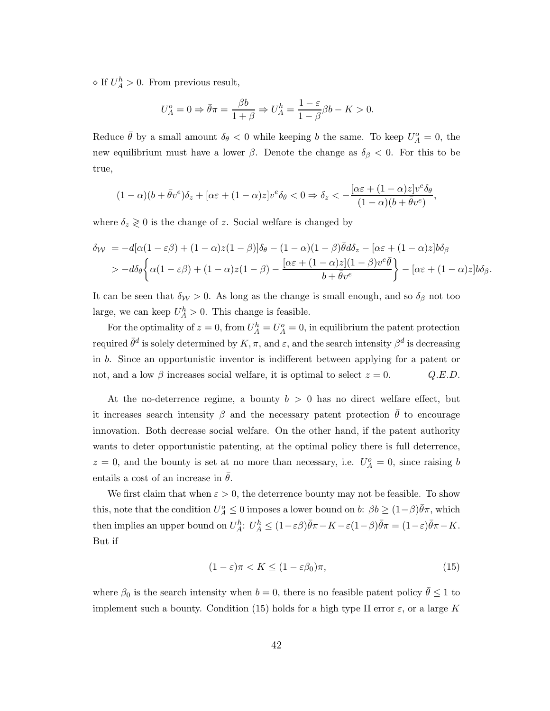$\Diamond$  If  $U_A^h > 0$ . From previous result,

$$
U_A^o = 0 \Rightarrow \bar{\theta}\pi = \frac{\beta b}{1+\beta} \Rightarrow U_A^h = \frac{1-\varepsilon}{1-\beta}\beta b - K > 0.
$$

Reduce  $\bar{\theta}$  by a small amount  $\delta_{\theta} < 0$  while keeping b the same. To keep  $U_A^o = 0$ , the new equilibrium must have a lower  $\beta$ . Denote the change as  $\delta_{\beta} < 0$ . For this to be true,

$$
(1-\alpha)(b+\bar\theta v^e)\delta_z+[\alpha\varepsilon+(1-\alpha)z]v^e\delta_\theta<0\Rightarrow \delta_z<-\frac{[\alpha\varepsilon+(1-\alpha)z]v^e\delta_\theta}{(1-\alpha)(b+\bar\theta v^e)},
$$

where  $\delta_z \geq 0$  is the change of z. Social welfare is changed by

$$
\delta_{\mathcal{W}} = -d[\alpha(1-\varepsilon\beta) + (1-\alpha)z(1-\beta)]\delta_{\theta} - (1-\alpha)(1-\beta)\bar{\theta}d\delta_{z} - [\alpha\varepsilon + (1-\alpha)z]b\delta_{\beta}
$$
  
> 
$$
-d\delta_{\theta}\left\{\alpha(1-\varepsilon\beta) + (1-\alpha)z(1-\beta) - \frac{[\alpha\varepsilon + (1-\alpha)z](1-\beta)v^{e}\bar{\theta}}{b+\bar{\theta}v^{e}}\right\} - [\alpha\varepsilon + (1-\alpha)z]b\delta_{\beta}.
$$

It can be seen that  $\delta_{\mathcal{W}} > 0$ . As long as the change is small enough, and so  $\delta_{\beta}$  not too large, we can keep  $U_A^h > 0$ . This change is feasible.

For the optimality of  $z = 0$ , from  $U_A^h = U_A^o = 0$ , in equilibrium the patent protection required  $\bar{\theta}^d$  is solely determined by  $K, \pi$ , and  $\varepsilon$ , and the search intensity  $\beta^d$  is decreasing in b. Since an opportunistic inventor is indifferent between applying for a patent or not, and a low  $\beta$  increases social welfare, it is optimal to select  $z = 0$ .  $Q.E.D$ .

At the no-deterrence regime, a bounty  $b > 0$  has no direct welfare effect, but it increases search intensity  $\beta$  and the necessary patent protection  $\theta$  to encourage innovation. Both decrease social welfare. On the other hand, if the patent authority wants to deter opportunistic patenting, at the optimal policy there is full deterrence,  $z = 0$ , and the bounty is set at no more than necessary, i.e.  $U_A^o = 0$ , since raising b entails a cost of an increase in  $\theta$ .

We first claim that when  $\varepsilon > 0$ , the deterrence bounty may not be feasible. To show this, note that the condition  $U_A^o \leq 0$  imposes a lower bound on  $b: \beta b \geq (1-\beta)\bar{\theta}\pi$ , which then implies an upper bound on  $U_A^h$ :  $U_A^h \leq (1 - \varepsilon)\overline{\theta}\pi - K - \varepsilon(1 - \beta)\overline{\theta}\pi = (1 - \varepsilon)\overline{\theta}\pi - K$ . But if

<span id="page-41-0"></span>
$$
(1 - \varepsilon)\pi < K \le (1 - \varepsilon\beta_0)\pi,\tag{15}
$$

where  $\beta_0$  is the search intensity when  $b = 0$ , there is no feasible patent policy  $\bar{\theta} \leq 1$  to implement such a bounty. Condition [\(15\)](#page-41-0) holds for a high type II error  $\varepsilon$ , or a large K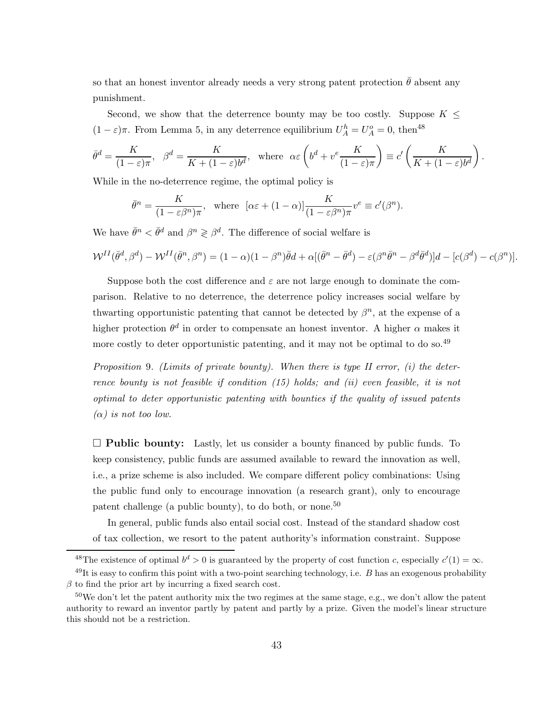so that an honest inventor already needs a very strong patent protection  $\bar{\theta}$  absent any punishment.

Second, we show that the deterrence bounty may be too costly. Suppose  $K \leq$  $(1 - \varepsilon)\pi$ . From Lemma [5,](#page-40-0) in any deterrence equilibrium  $U_A^h = U_A^o = 0$ , then<sup>48</sup>

$$
\bar{\theta}^d = \frac{K}{(1-\varepsilon)\pi}, \quad \beta^d = \frac{K}{K + (1-\varepsilon)b^d}, \text{ where } \alpha \varepsilon \left(b^d + v^e \frac{K}{(1-\varepsilon)\pi}\right) \equiv c' \left(\frac{K}{K + (1-\varepsilon)b^d}\right).
$$

While in the no-deterrence regime, the optimal policy is

$$
\bar{\theta}^n = \frac{K}{(1 - \varepsilon \beta^n)\pi}, \text{ where } [\alpha \varepsilon + (1 - \alpha)] \frac{K}{(1 - \varepsilon \beta^n)\pi} v^e \equiv c'(\beta^n).
$$

We have  $\bar{\theta}^n < \bar{\theta}^d$  and  $\beta^n \geq \beta^d$ . The difference of social welfare is

$$
\mathcal{W}^{II}(\bar{\theta}^d, \beta^d) - \mathcal{W}^{II}(\bar{\theta}^n, \beta^n) = (1 - \alpha)(1 - \beta^n)\bar{\theta}d + \alpha[(\bar{\theta}^n - \bar{\theta}^d) - \varepsilon(\beta^n\bar{\theta}^n - \beta^d\bar{\theta}^d)]d - [c(\beta^d) - c(\beta^n)].
$$

Suppose both the cost difference and  $\varepsilon$  are not large enough to dominate the comparison. Relative to no deterrence, the deterrence policy increases social welfare by thwarting opportunistic patenting that cannot be detected by  $\beta^n$ , at the expense of a higher protection  $\theta^d$  in order to compensate an honest inventor. A higher  $\alpha$  makes it more costly to deter opportunistic patenting, and it may not be optimal to do so.<sup>49</sup>

Proposition 9. (Limits of private bounty). When there is type II error,  $(i)$  the deter-rence bounty is not feasible if condition [\(15\)](#page-41-0) holds; and (ii) even feasible, it is not optimal to deter opportunistic patenting with bounties if the quality of issued patents  $(\alpha)$  is not too low.

 $\Box$  Public bounty: Lastly, let us consider a bounty financed by public funds. To keep consistency, public funds are assumed available to reward the innovation as well, i.e., a prize scheme is also included. We compare different policy combinations: Using the public fund only to encourage innovation (a research grant), only to encourage patent challenge (a public bounty), to do both, or none.<sup>50</sup>

In general, public funds also entail social cost. Instead of the standard shadow cost of tax collection, we resort to the patent authority's information constraint. Suppose

<sup>&</sup>lt;sup>48</sup>The existence of optimal  $b^d > 0$  is guaranteed by the property of cost function c, especially  $c'(1) = \infty$ .  $^{49}$ It is easy to confirm this point with a two-point searching technology, i.e. B has an exogenous probability  $\beta$  to find the prior art by incurring a fixed search cost.

<sup>50</sup>We don't let the patent authority mix the two regimes at the same stage, e.g., we don't allow the patent authority to reward an inventor partly by patent and partly by a prize. Given the model's linear structure this should not be a restriction.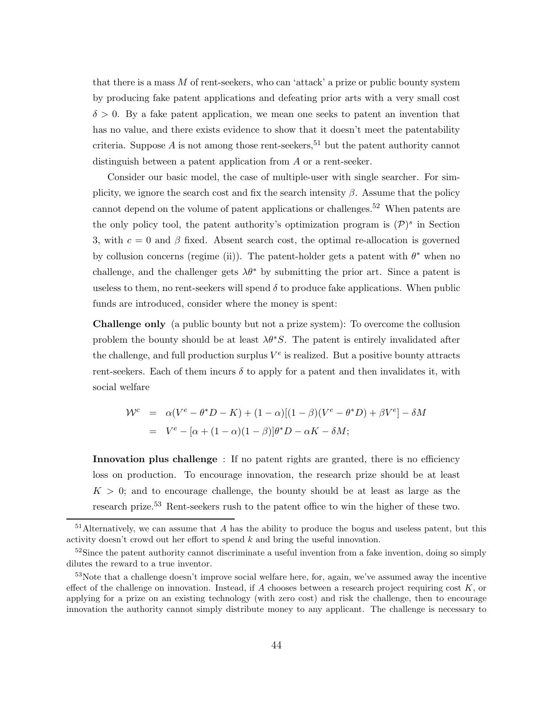that there is a mass  $M$  of rent-seekers, who can 'attack' a prize or public bounty system by producing fake patent applications and defeating prior arts with a very small cost  $\delta > 0$ . By a fake patent application, we mean one seeks to patent an invention that has no value, and there exists evidence to show that it doesn't meet the patentability criteria. Suppose  $A$  is not among those rent-seekers,  $51$  but the patent authority cannot distinguish between a patent application from  $A$  or a rent-seeker.

Consider our basic model, the case of multiple-user with single searcher. For simplicity, we ignore the search cost and fix the search intensity  $\beta$ . Assume that the policy cannot depend on the volume of patent applications or challenges.<sup>52</sup> When patents are the only policy tool, the patent authority's optimization program is  $(\mathcal{P})^s$  in Section [3,](#page-9-0) with  $c = 0$  and  $\beta$  fixed. Absent search cost, the optimal re-allocation is governed by collusion concerns (regime (ii)). The patent-holder gets a patent with  $\theta^*$  when no challenge, and the challenger gets  $\lambda \theta^*$  by submitting the prior art. Since a patent is useless to them, no rent-seekers will spend  $\delta$  to produce fake applications. When public funds are introduced, consider where the money is spent:

Challenge only (a public bounty but not a prize system): To overcome the collusion problem the bounty should be at least  $\lambda \theta^* S$ . The patent is entirely invalidated after the challenge, and full production surplus  $V^e$  is realized. But a positive bounty attracts rent-seekers. Each of them incurs  $\delta$  to apply for a patent and then invalidates it, with social welfare

$$
\mathcal{W}^c = \alpha(V^e - \theta^* D - K) + (1 - \alpha)[(1 - \beta)(V^e - \theta^* D) + \beta V^e] - \delta M
$$
  
= 
$$
V^e - [\alpha + (1 - \alpha)(1 - \beta)]\theta^* D - \alpha K - \delta M;
$$

Innovation plus challenge : If no patent rights are granted, there is no efficiency loss on production. To encourage innovation, the research prize should be at least  $K > 0$ ; and to encourage challenge, the bounty should be at least as large as the research prize.<sup>53</sup> Rent-seekers rush to the patent office to win the higher of these two.

 $51$ Alternatively, we can assume that  $A$  has the ability to produce the bogus and useless patent, but this activity doesn't crowd out her effort to spend  $k$  and bring the useful innovation.

<sup>&</sup>lt;sup>52</sup>Since the patent authority cannot discriminate a useful invention from a fake invention, doing so simply dilutes the reward to a true inventor.

<sup>53</sup>Note that a challenge doesn't improve social welfare here, for, again, we've assumed away the incentive effect of the challenge on innovation. Instead, if  $A$  chooses between a research project requiring cost  $K$ , or applying for a prize on an existing technology (with zero cost) and risk the challenge, then to encourage innovation the authority cannot simply distribute money to any applicant. The challenge is necessary to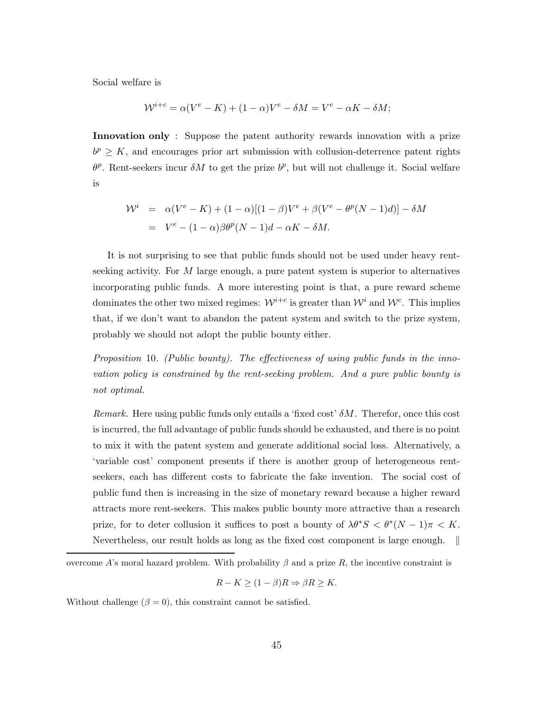Social welfare is

$$
W^{i+c} = \alpha (V^e - K) + (1 - \alpha)V^e - \delta M = V^e - \alpha K - \delta M;
$$

Innovation only : Suppose the patent authority rewards innovation with a prize  $b^p \geq K$ , and encourages prior art submission with collusion-deterrence patent rights  $\theta^p$ . Rent-seekers incur  $\delta M$  to get the prize  $b^p$ , but will not challenge it. Social welfare is

$$
\mathcal{W}^i = \alpha(V^e - K) + (1 - \alpha)[(1 - \beta)V^e + \beta(V^e - \theta^p(N - 1)d)] - \delta M
$$
  
= 
$$
V^e - (1 - \alpha)\beta\theta^p(N - 1)d - \alpha K - \delta M.
$$

It is not surprising to see that public funds should not be used under heavy rentseeking activity. For  $M$  large enough, a pure patent system is superior to alternatives incorporating public funds. A more interesting point is that, a pure reward scheme dominates the other two mixed regimes:  $\mathcal{W}^{i+c}$  is greater than  $\mathcal{W}^i$  and  $\mathcal{W}^c$ . This implies that, if we don't want to abandon the patent system and switch to the prize system, probably we should not adopt the public bounty either.

Proposition 10. (Public bounty). The effectiveness of using public funds in the innovation policy is constrained by the rent-seeking problem. And a pure public bounty is not optimal.

Remark. Here using public funds only entails a 'fixed cost'  $\delta M$ . Therefor, once this cost is incurred, the full advantage of public funds should be exhausted, and there is no point to mix it with the patent system and generate additional social loss. Alternatively, a 'variable cost' component presents if there is another group of heterogeneous rentseekers, each has different costs to fabricate the fake invention. The social cost of public fund then is increasing in the size of monetary reward because a higher reward attracts more rent-seekers. This makes public bounty more attractive than a research prize, for to deter collusion it suffices to post a bounty of  $\lambda \theta^* S < \theta^* (N-1) \pi < K$ . Nevertheless, our result holds as long as the fixed cost component is large enough. ∥

overcome A's moral hazard problem. With probability  $\beta$  and a prize R, the incentive constraint is

$$
R - K \ge (1 - \beta)R \Rightarrow \beta R \ge K.
$$

Without challenge  $(\beta = 0)$ , this constraint cannot be satisfied.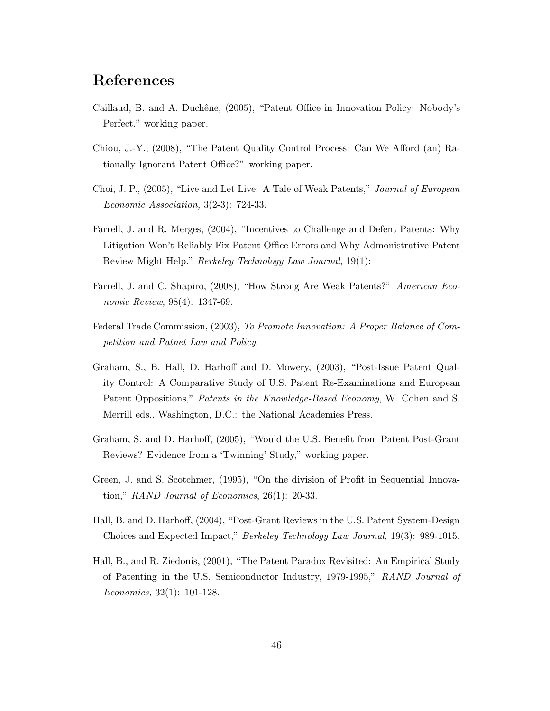## References

- <span id="page-45-9"></span>Caillaud, B. and A. Duchêne, (2005), "Patent Office in Innovation Policy: Nobody's Perfect," working paper.
- <span id="page-45-8"></span>Chiou, J.-Y., (2008), "The Patent Quality Control Process: Can We Afford (an) Rationally Ignorant Patent Office?" working paper.
- <span id="page-45-6"></span>Choi, J. P., (2005), "Live and Let Live: A Tale of Weak Patents," Journal of European Economic Association, 3(2-3): 724-33.
- <span id="page-45-7"></span>Farrell, J. and R. Merges, (2004), "Incentives to Challenge and Defent Patents: Why Litigation Won't Reliably Fix Patent Office Errors and Why Admonistrative Patent Review Might Help." Berkeley Technology Law Journal, 19(1):
- <span id="page-45-1"></span>Farrell, J. and C. Shapiro, (2008), "How Strong Are Weak Patents?" American Economic Review, 98(4): 1347-69.
- <span id="page-45-3"></span>Federal Trade Commission, (2003), To Promote Innovation: A Proper Balance of Competition and Patnet Law and Policy.
- <span id="page-45-2"></span>Graham, S., B. Hall, D. Harhoff and D. Mowery, (2003), "Post-Issue Patent Quality Control: A Comparative Study of U.S. Patent Re-Examinations and European Patent Oppositions," Patents in the Knowledge-Based Economy, W. Cohen and S. Merrill eds., Washington, D.C.: the National Academies Press.
- <span id="page-45-5"></span>Graham, S. and D. Harhoff, (2005), "Would the U.S. Benefit from Patent Post-Grant Reviews? Evidence from a 'Twinning' Study," working paper.
- <span id="page-45-0"></span>Green, J. and S. Scotchmer, (1995), "On the division of Profit in Sequential Innovation," RAND Journal of Economics, 26(1): 20-33.
- <span id="page-45-4"></span>Hall, B. and D. Harhoff, (2004), "Post-Grant Reviews in the U.S. Patent System-Design Choices and Expected Impact," Berkeley Technology Law Journal, 19(3): 989-1015.
- <span id="page-45-10"></span>Hall, B., and R. Ziedonis, (2001), "The Patent Paradox Revisited: An Empirical Study of Patenting in the U.S. Semiconductor Industry, 1979-1995," RAND Journal of Economics, 32(1): 101-128.